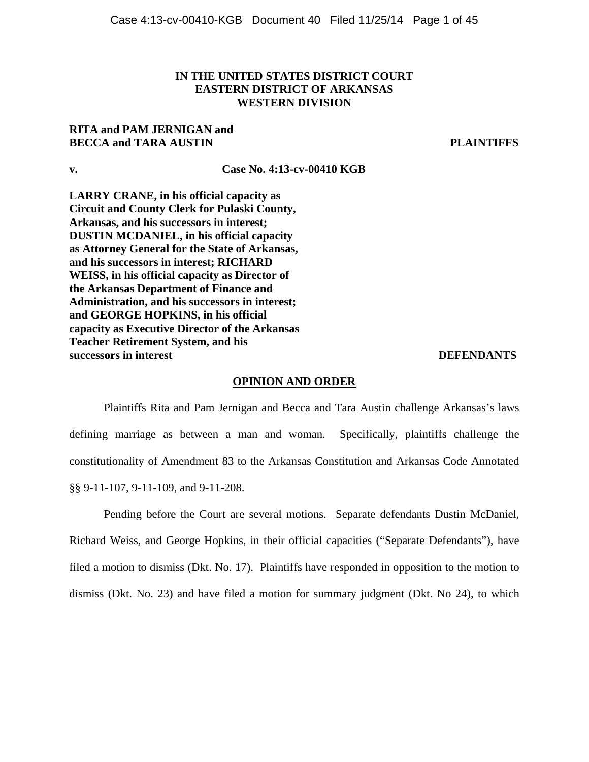# **IN THE UNITED STATES DISTRICT COURT EASTERN DISTRICT OF ARKANSAS WESTERN DIVISION**

# **RITA and PAM JERNIGAN and BECCA and TARA AUSTIN PLAINTIFFS**

# **v. Case No. 4:13-cv-00410 KGB**

**LARRY CRANE, in his official capacity as Circuit and County Clerk for Pulaski County, Arkansas, and his successors in interest; DUSTIN MCDANIEL, in his official capacity as Attorney General for the State of Arkansas, and his successors in interest; RICHARD WEISS, in his official capacity as Director of the Arkansas Department of Finance and Administration, and his successors in interest; and GEORGE HOPKINS, in his official capacity as Executive Director of the Arkansas Teacher Retirement System, and his successors in interest DEFENDANTS** 

#### **OPINION AND ORDER**

Plaintiffs Rita and Pam Jernigan and Becca and Tara Austin challenge Arkansas's laws defining marriage as between a man and woman. Specifically, plaintiffs challenge the constitutionality of Amendment 83 to the Arkansas Constitution and Arkansas Code Annotated §§ 9-11-107, 9-11-109, and 9-11-208.

Pending before the Court are several motions. Separate defendants Dustin McDaniel, Richard Weiss, and George Hopkins, in their official capacities ("Separate Defendants"), have filed a motion to dismiss (Dkt. No. 17). Plaintiffs have responded in opposition to the motion to dismiss (Dkt. No. 23) and have filed a motion for summary judgment (Dkt. No 24), to which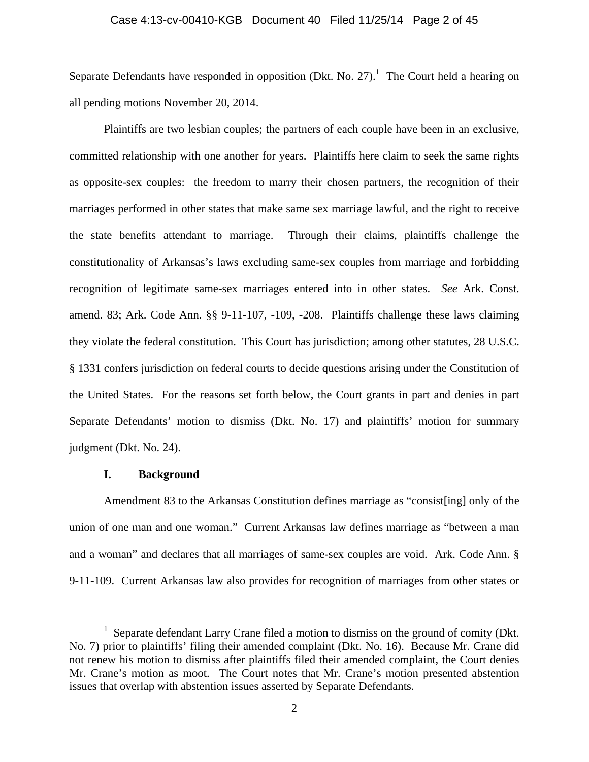#### Case 4:13-cv-00410-KGB Document 40 Filed 11/25/14 Page 2 of 45

Separate Defendants have responded in opposition (Dkt. No. 27).<sup>1</sup> The Court held a hearing on all pending motions November 20, 2014.

Plaintiffs are two lesbian couples; the partners of each couple have been in an exclusive, committed relationship with one another for years. Plaintiffs here claim to seek the same rights as opposite-sex couples: the freedom to marry their chosen partners, the recognition of their marriages performed in other states that make same sex marriage lawful, and the right to receive the state benefits attendant to marriage. Through their claims, plaintiffs challenge the constitutionality of Arkansas's laws excluding same-sex couples from marriage and forbidding recognition of legitimate same-sex marriages entered into in other states. *See* Ark. Const. amend. 83; Ark. Code Ann. §§ 9-11-107, -109, -208. Plaintiffs challenge these laws claiming they violate the federal constitution. This Court has jurisdiction; among other statutes, 28 U.S.C. § 1331 confers jurisdiction on federal courts to decide questions arising under the Constitution of the United States. For the reasons set forth below, the Court grants in part and denies in part Separate Defendants' motion to dismiss (Dkt. No. 17) and plaintiffs' motion for summary judgment (Dkt. No. 24).

#### **I. Background**

Amendment 83 to the Arkansas Constitution defines marriage as "consist[ing] only of the union of one man and one woman." Current Arkansas law defines marriage as "between a man and a woman" and declares that all marriages of same-sex couples are void. Ark. Code Ann. § 9-11-109. Current Arkansas law also provides for recognition of marriages from other states or

<sup>&</sup>lt;u>1</u> <sup>1</sup> Separate defendant Larry Crane filed a motion to dismiss on the ground of comity (Dkt. No. 7) prior to plaintiffs' filing their amended complaint (Dkt. No. 16). Because Mr. Crane did not renew his motion to dismiss after plaintiffs filed their amended complaint, the Court denies Mr. Crane's motion as moot. The Court notes that Mr. Crane's motion presented abstention issues that overlap with abstention issues asserted by Separate Defendants.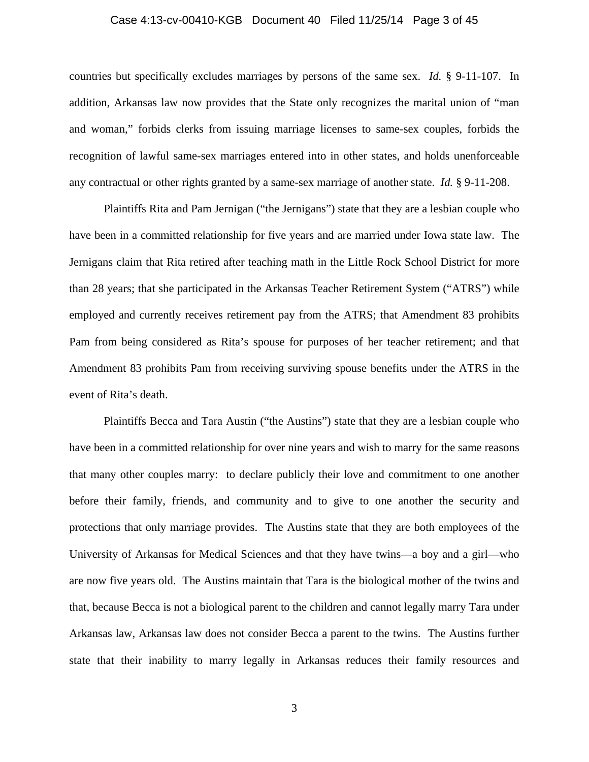#### Case 4:13-cv-00410-KGB Document 40 Filed 11/25/14 Page 3 of 45

countries but specifically excludes marriages by persons of the same sex. *Id.* § 9-11-107. In addition, Arkansas law now provides that the State only recognizes the marital union of "man and woman," forbids clerks from issuing marriage licenses to same-sex couples, forbids the recognition of lawful same-sex marriages entered into in other states, and holds unenforceable any contractual or other rights granted by a same-sex marriage of another state. *Id.* § 9-11-208.

Plaintiffs Rita and Pam Jernigan ("the Jernigans") state that they are a lesbian couple who have been in a committed relationship for five years and are married under Iowa state law. The Jernigans claim that Rita retired after teaching math in the Little Rock School District for more than 28 years; that she participated in the Arkansas Teacher Retirement System ("ATRS") while employed and currently receives retirement pay from the ATRS; that Amendment 83 prohibits Pam from being considered as Rita's spouse for purposes of her teacher retirement; and that Amendment 83 prohibits Pam from receiving surviving spouse benefits under the ATRS in the event of Rita's death.

Plaintiffs Becca and Tara Austin ("the Austins") state that they are a lesbian couple who have been in a committed relationship for over nine years and wish to marry for the same reasons that many other couples marry: to declare publicly their love and commitment to one another before their family, friends, and community and to give to one another the security and protections that only marriage provides. The Austins state that they are both employees of the University of Arkansas for Medical Sciences and that they have twins—a boy and a girl—who are now five years old. The Austins maintain that Tara is the biological mother of the twins and that, because Becca is not a biological parent to the children and cannot legally marry Tara under Arkansas law, Arkansas law does not consider Becca a parent to the twins. The Austins further state that their inability to marry legally in Arkansas reduces their family resources and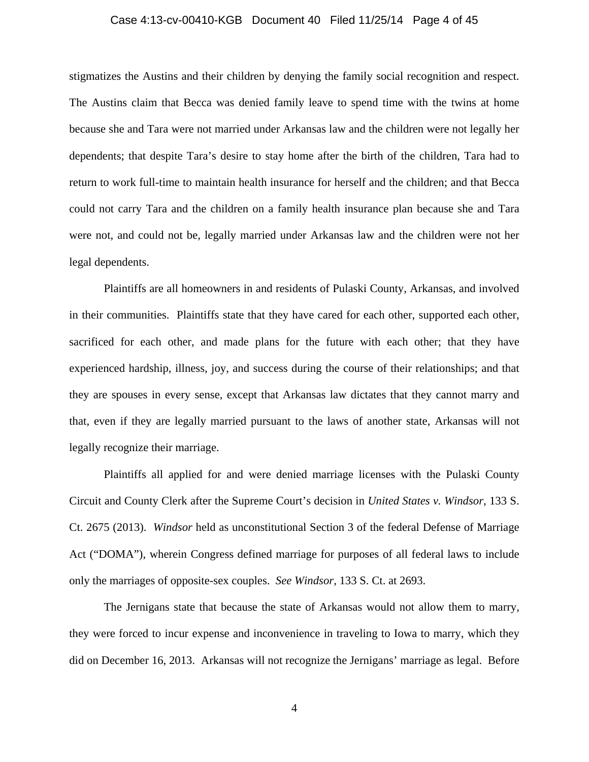# Case 4:13-cv-00410-KGB Document 40 Filed 11/25/14 Page 4 of 45

stigmatizes the Austins and their children by denying the family social recognition and respect. The Austins claim that Becca was denied family leave to spend time with the twins at home because she and Tara were not married under Arkansas law and the children were not legally her dependents; that despite Tara's desire to stay home after the birth of the children, Tara had to return to work full-time to maintain health insurance for herself and the children; and that Becca could not carry Tara and the children on a family health insurance plan because she and Tara were not, and could not be, legally married under Arkansas law and the children were not her legal dependents.

Plaintiffs are all homeowners in and residents of Pulaski County, Arkansas, and involved in their communities. Plaintiffs state that they have cared for each other, supported each other, sacrificed for each other, and made plans for the future with each other; that they have experienced hardship, illness, joy, and success during the course of their relationships; and that they are spouses in every sense, except that Arkansas law dictates that they cannot marry and that, even if they are legally married pursuant to the laws of another state, Arkansas will not legally recognize their marriage.

Plaintiffs all applied for and were denied marriage licenses with the Pulaski County Circuit and County Clerk after the Supreme Court's decision in *United States v. Windsor*, 133 S. Ct. 2675 (2013). *Windsor* held as unconstitutional Section 3 of the federal Defense of Marriage Act ("DOMA"), wherein Congress defined marriage for purposes of all federal laws to include only the marriages of opposite-sex couples. *See Windsor*, 133 S. Ct. at 2693.

The Jernigans state that because the state of Arkansas would not allow them to marry, they were forced to incur expense and inconvenience in traveling to Iowa to marry, which they did on December 16, 2013. Arkansas will not recognize the Jernigans' marriage as legal. Before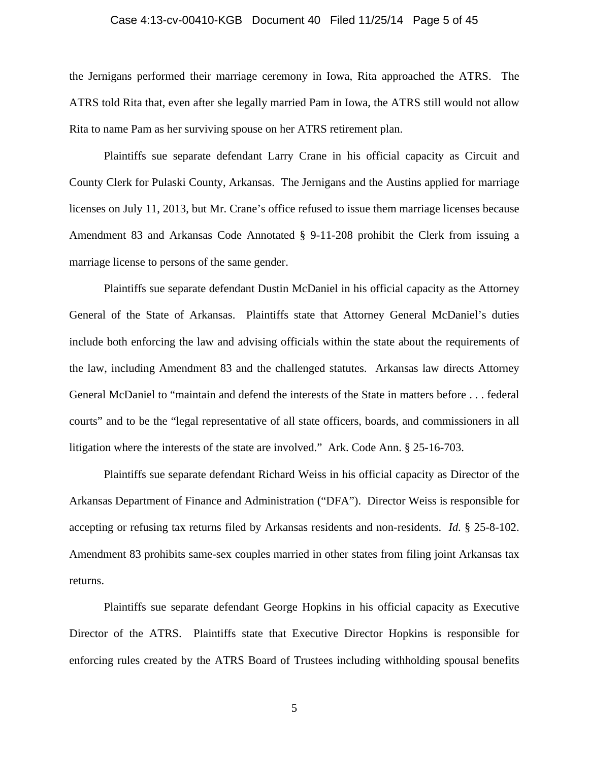# Case 4:13-cv-00410-KGB Document 40 Filed 11/25/14 Page 5 of 45

the Jernigans performed their marriage ceremony in Iowa, Rita approached the ATRS. The ATRS told Rita that, even after she legally married Pam in Iowa, the ATRS still would not allow Rita to name Pam as her surviving spouse on her ATRS retirement plan.

Plaintiffs sue separate defendant Larry Crane in his official capacity as Circuit and County Clerk for Pulaski County, Arkansas. The Jernigans and the Austins applied for marriage licenses on July 11, 2013, but Mr. Crane's office refused to issue them marriage licenses because Amendment 83 and Arkansas Code Annotated § 9-11-208 prohibit the Clerk from issuing a marriage license to persons of the same gender.

Plaintiffs sue separate defendant Dustin McDaniel in his official capacity as the Attorney General of the State of Arkansas. Plaintiffs state that Attorney General McDaniel's duties include both enforcing the law and advising officials within the state about the requirements of the law, including Amendment 83 and the challenged statutes. Arkansas law directs Attorney General McDaniel to "maintain and defend the interests of the State in matters before . . . federal courts" and to be the "legal representative of all state officers, boards, and commissioners in all litigation where the interests of the state are involved." Ark. Code Ann. § 25-16-703.

Plaintiffs sue separate defendant Richard Weiss in his official capacity as Director of the Arkansas Department of Finance and Administration ("DFA"). Director Weiss is responsible for accepting or refusing tax returns filed by Arkansas residents and non-residents. *Id.* § 25-8-102. Amendment 83 prohibits same-sex couples married in other states from filing joint Arkansas tax returns.

Plaintiffs sue separate defendant George Hopkins in his official capacity as Executive Director of the ATRS. Plaintiffs state that Executive Director Hopkins is responsible for enforcing rules created by the ATRS Board of Trustees including withholding spousal benefits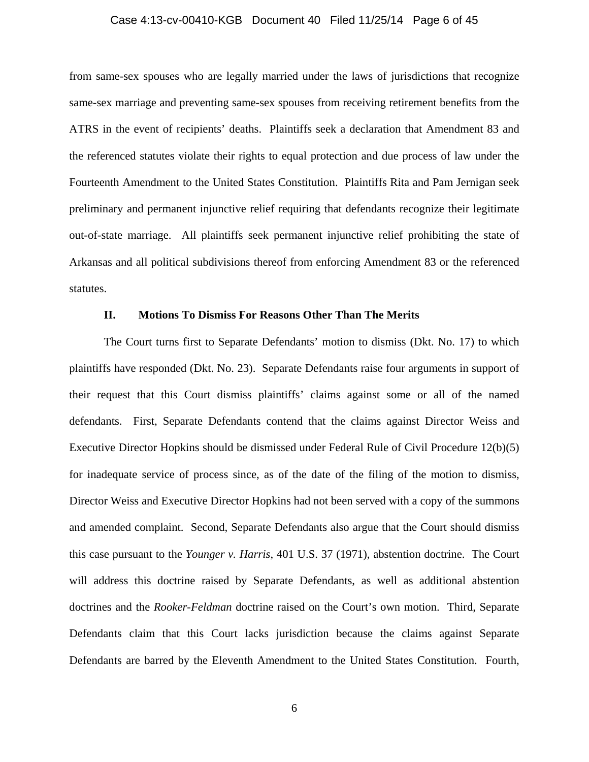# Case 4:13-cv-00410-KGB Document 40 Filed 11/25/14 Page 6 of 45

from same-sex spouses who are legally married under the laws of jurisdictions that recognize same-sex marriage and preventing same-sex spouses from receiving retirement benefits from the ATRS in the event of recipients' deaths. Plaintiffs seek a declaration that Amendment 83 and the referenced statutes violate their rights to equal protection and due process of law under the Fourteenth Amendment to the United States Constitution. Plaintiffs Rita and Pam Jernigan seek preliminary and permanent injunctive relief requiring that defendants recognize their legitimate out-of-state marriage. All plaintiffs seek permanent injunctive relief prohibiting the state of Arkansas and all political subdivisions thereof from enforcing Amendment 83 or the referenced statutes.

#### **II. Motions To Dismiss For Reasons Other Than The Merits**

The Court turns first to Separate Defendants' motion to dismiss (Dkt. No. 17) to which plaintiffs have responded (Dkt. No. 23). Separate Defendants raise four arguments in support of their request that this Court dismiss plaintiffs' claims against some or all of the named defendants. First, Separate Defendants contend that the claims against Director Weiss and Executive Director Hopkins should be dismissed under Federal Rule of Civil Procedure 12(b)(5) for inadequate service of process since, as of the date of the filing of the motion to dismiss, Director Weiss and Executive Director Hopkins had not been served with a copy of the summons and amended complaint. Second, Separate Defendants also argue that the Court should dismiss this case pursuant to the *Younger v. Harris*, 401 U.S. 37 (1971), abstention doctrine. The Court will address this doctrine raised by Separate Defendants, as well as additional abstention doctrines and the *Rooker-Feldman* doctrine raised on the Court's own motion. Third, Separate Defendants claim that this Court lacks jurisdiction because the claims against Separate Defendants are barred by the Eleventh Amendment to the United States Constitution. Fourth,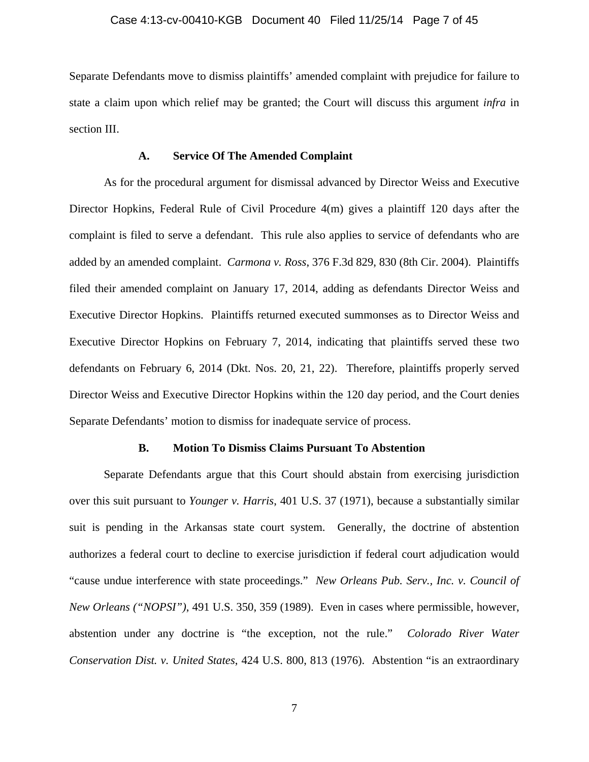Separate Defendants move to dismiss plaintiffs' amended complaint with prejudice for failure to state a claim upon which relief may be granted; the Court will discuss this argument *infra* in section III.

### **A. Service Of The Amended Complaint**

As for the procedural argument for dismissal advanced by Director Weiss and Executive Director Hopkins, Federal Rule of Civil Procedure 4(m) gives a plaintiff 120 days after the complaint is filed to serve a defendant. This rule also applies to service of defendants who are added by an amended complaint. *Carmona v. Ross*, 376 F.3d 829, 830 (8th Cir. 2004). Plaintiffs filed their amended complaint on January 17, 2014, adding as defendants Director Weiss and Executive Director Hopkins. Plaintiffs returned executed summonses as to Director Weiss and Executive Director Hopkins on February 7, 2014, indicating that plaintiffs served these two defendants on February 6, 2014 (Dkt. Nos. 20, 21, 22). Therefore, plaintiffs properly served Director Weiss and Executive Director Hopkins within the 120 day period, and the Court denies Separate Defendants' motion to dismiss for inadequate service of process.

#### **B. Motion To Dismiss Claims Pursuant To Abstention**

Separate Defendants argue that this Court should abstain from exercising jurisdiction over this suit pursuant to *Younger v. Harris*, 401 U.S. 37 (1971), because a substantially similar suit is pending in the Arkansas state court system. Generally, the doctrine of abstention authorizes a federal court to decline to exercise jurisdiction if federal court adjudication would "cause undue interference with state proceedings." *New Orleans Pub. Serv., Inc. v. Council of New Orleans ("NOPSI")*, 491 U.S. 350, 359 (1989). Even in cases where permissible, however, abstention under any doctrine is "the exception, not the rule." *Colorado River Water Conservation Dist. v. United States*, 424 U.S. 800, 813 (1976). Abstention "is an extraordinary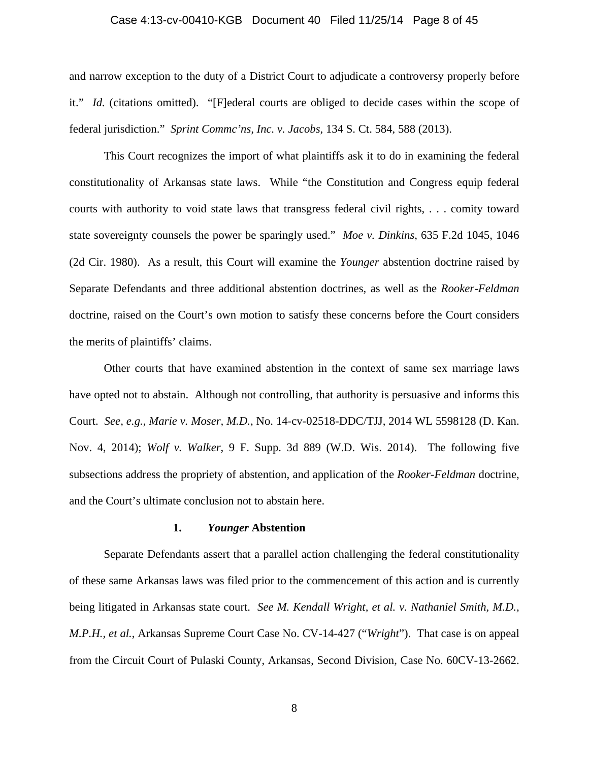#### Case 4:13-cv-00410-KGB Document 40 Filed 11/25/14 Page 8 of 45

and narrow exception to the duty of a District Court to adjudicate a controversy properly before it." *Id.* (citations omitted). "[F]ederal courts are obliged to decide cases within the scope of federal jurisdiction." *Sprint Commc'ns, Inc. v. Jacobs*, 134 S. Ct. 584, 588 (2013).

This Court recognizes the import of what plaintiffs ask it to do in examining the federal constitutionality of Arkansas state laws. While "the Constitution and Congress equip federal courts with authority to void state laws that transgress federal civil rights, . . . comity toward state sovereignty counsels the power be sparingly used." *Moe v. Dinkins*, 635 F.2d 1045, 1046 (2d Cir. 1980). As a result, this Court will examine the *Younger* abstention doctrine raised by Separate Defendants and three additional abstention doctrines, as well as the *Rooker-Feldman* doctrine, raised on the Court's own motion to satisfy these concerns before the Court considers the merits of plaintiffs' claims.

Other courts that have examined abstention in the context of same sex marriage laws have opted not to abstain. Although not controlling, that authority is persuasive and informs this Court. *See, e.g.*, *Marie v. Moser, M.D.*, No. 14-cv-02518-DDC/TJJ, 2014 WL 5598128 (D. Kan. Nov. 4, 2014); *Wolf v. Walker*, 9 F. Supp. 3d 889 (W.D. Wis. 2014). The following five subsections address the propriety of abstention, and application of the *Rooker-Feldman* doctrine, and the Court's ultimate conclusion not to abstain here.

#### **1.** *Younger* **Abstention**

Separate Defendants assert that a parallel action challenging the federal constitutionality of these same Arkansas laws was filed prior to the commencement of this action and is currently being litigated in Arkansas state court. *See M. Kendall Wright, et al. v. Nathaniel Smith, M.D., M.P.H., et al.*, Arkansas Supreme Court Case No. CV-14-427 ("*Wright*"). That case is on appeal from the Circuit Court of Pulaski County, Arkansas, Second Division, Case No. 60CV-13-2662.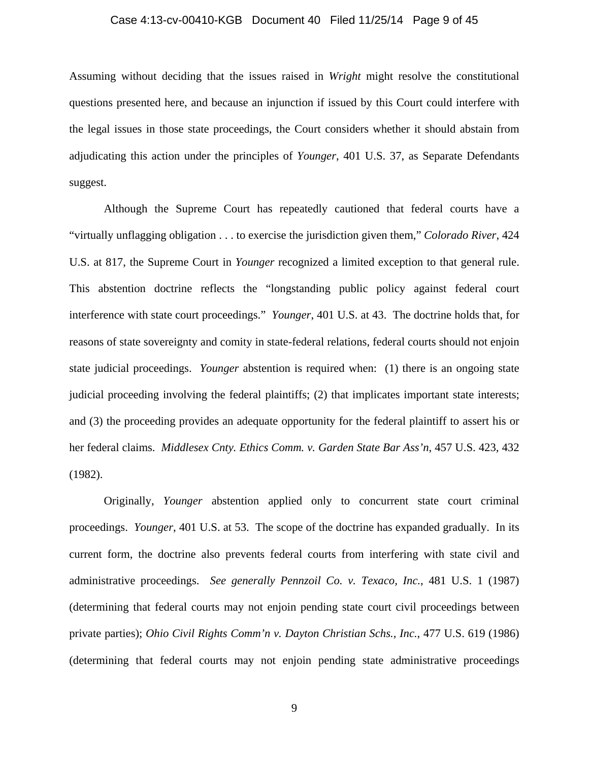#### Case 4:13-cv-00410-KGB Document 40 Filed 11/25/14 Page 9 of 45

Assuming without deciding that the issues raised in *Wright* might resolve the constitutional questions presented here, and because an injunction if issued by this Court could interfere with the legal issues in those state proceedings, the Court considers whether it should abstain from adjudicating this action under the principles of *Younger*, 401 U.S. 37, as Separate Defendants suggest.

Although the Supreme Court has repeatedly cautioned that federal courts have a "virtually unflagging obligation . . . to exercise the jurisdiction given them," *Colorado River*, 424 U.S. at 817, the Supreme Court in *Younger* recognized a limited exception to that general rule. This abstention doctrine reflects the "longstanding public policy against federal court interference with state court proceedings." *Younger*, 401 U.S. at 43. The doctrine holds that, for reasons of state sovereignty and comity in state-federal relations, federal courts should not enjoin state judicial proceedings. *Younger* abstention is required when: (1) there is an ongoing state judicial proceeding involving the federal plaintiffs; (2) that implicates important state interests; and (3) the proceeding provides an adequate opportunity for the federal plaintiff to assert his or her federal claims. *Middlesex Cnty. Ethics Comm. v. Garden State Bar Ass'n*, 457 U.S. 423, 432 (1982).

Originally, *Younger* abstention applied only to concurrent state court criminal proceedings. *Younger*, 401 U.S. at 53. The scope of the doctrine has expanded gradually. In its current form, the doctrine also prevents federal courts from interfering with state civil and administrative proceedings. *See generally Pennzoil Co. v. Texaco, Inc.*, 481 U.S. 1 (1987) (determining that federal courts may not enjoin pending state court civil proceedings between private parties); *Ohio Civil Rights Comm'n v. Dayton Christian Schs., Inc.*, 477 U.S. 619 (1986) (determining that federal courts may not enjoin pending state administrative proceedings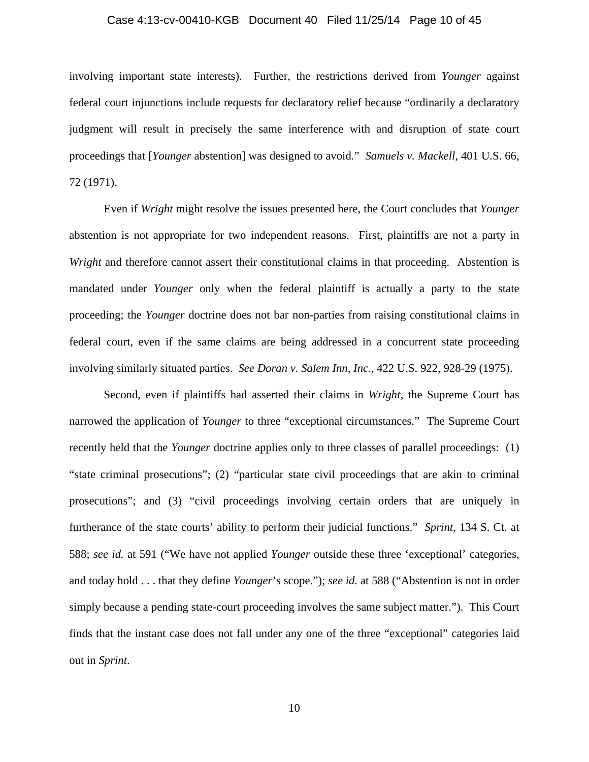#### Case 4:13-cv-00410-KGB Document 40 Filed 11/25/14 Page 10 of 45

involving important state interests). Further, the restrictions derived from *Younger* against federal court injunctions include requests for declaratory relief because "ordinarily a declaratory judgment will result in precisely the same interference with and disruption of state court proceedings that [*Younger* abstention] was designed to avoid." *Samuels v. Mackell*, 401 U.S. 66, 72 (1971).

 Even if *Wright* might resolve the issues presented here, the Court concludes that *Younger* abstention is not appropriate for two independent reasons. First, plaintiffs are not a party in *Wright* and therefore cannot assert their constitutional claims in that proceeding. Abstention is mandated under *Younger* only when the federal plaintiff is actually a party to the state proceeding; the *Younger* doctrine does not bar non-parties from raising constitutional claims in federal court, even if the same claims are being addressed in a concurrent state proceeding involving similarly situated parties. *See Doran v. Salem Inn, Inc.*, 422 U.S. 922, 928-29 (1975).

 Second, even if plaintiffs had asserted their claims in *Wright*, the Supreme Court has narrowed the application of *Younger* to three "exceptional circumstances." The Supreme Court recently held that the *Younger* doctrine applies only to three classes of parallel proceedings: (1) "state criminal prosecutions"; (2) "particular state civil proceedings that are akin to criminal prosecutions"; and (3) "civil proceedings involving certain orders that are uniquely in furtherance of the state courts' ability to perform their judicial functions." *Sprint*, 134 S. Ct. at 588; *see id.* at 591 ("We have not applied *Younger* outside these three 'exceptional' categories, and today hold . . . that they define *Younger*'s scope."); *see id.* at 588 ("Abstention is not in order simply because a pending state-court proceeding involves the same subject matter."). This Court finds that the instant case does not fall under any one of the three "exceptional" categories laid out in *Sprint*.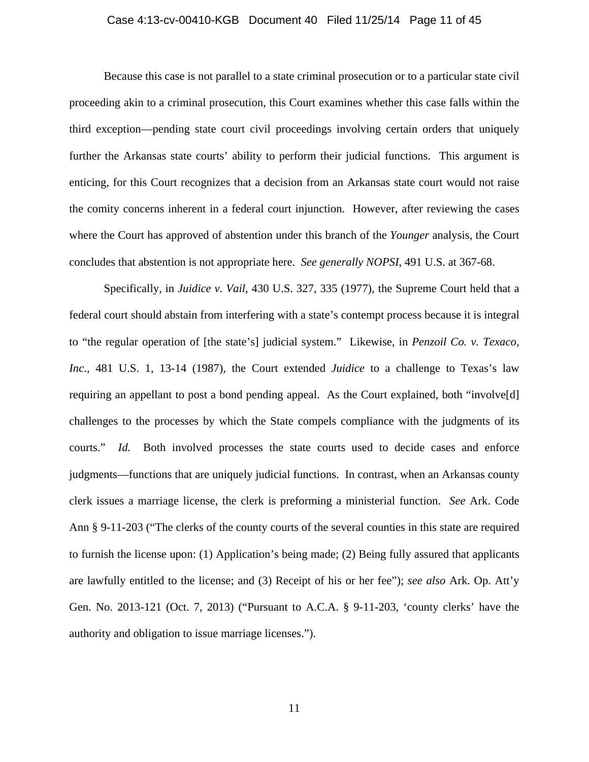#### Case 4:13-cv-00410-KGB Document 40 Filed 11/25/14 Page 11 of 45

Because this case is not parallel to a state criminal prosecution or to a particular state civil proceeding akin to a criminal prosecution, this Court examines whether this case falls within the third exception—pending state court civil proceedings involving certain orders that uniquely further the Arkansas state courts' ability to perform their judicial functions. This argument is enticing, for this Court recognizes that a decision from an Arkansas state court would not raise the comity concerns inherent in a federal court injunction. However, after reviewing the cases where the Court has approved of abstention under this branch of the *Younger* analysis, the Court concludes that abstention is not appropriate here. *See generally NOPSI*, 491 U.S. at 367-68.

Specifically, in *Juidice v. Vail*, 430 U.S. 327, 335 (1977), the Supreme Court held that a federal court should abstain from interfering with a state's contempt process because it is integral to "the regular operation of [the state's] judicial system." Likewise, in *Penzoil Co. v. Texaco, Inc*., 481 U.S. 1, 13-14 (1987), the Court extended *Juidice* to a challenge to Texas's law requiring an appellant to post a bond pending appeal. As the Court explained, both "involve[d] challenges to the processes by which the State compels compliance with the judgments of its courts." *Id.* Both involved processes the state courts used to decide cases and enforce judgments—functions that are uniquely judicial functions. In contrast, when an Arkansas county clerk issues a marriage license, the clerk is preforming a ministerial function. *See* Ark. Code Ann § 9-11-203 ("The clerks of the county courts of the several counties in this state are required to furnish the license upon: (1) Application's being made; (2) Being fully assured that applicants are lawfully entitled to the license; and (3) Receipt of his or her fee"); *see also* Ark. Op. Att'y Gen. No. 2013-121 (Oct. 7, 2013) ("Pursuant to A.C.A. § 9-11-203, 'county clerks' have the authority and obligation to issue marriage licenses.").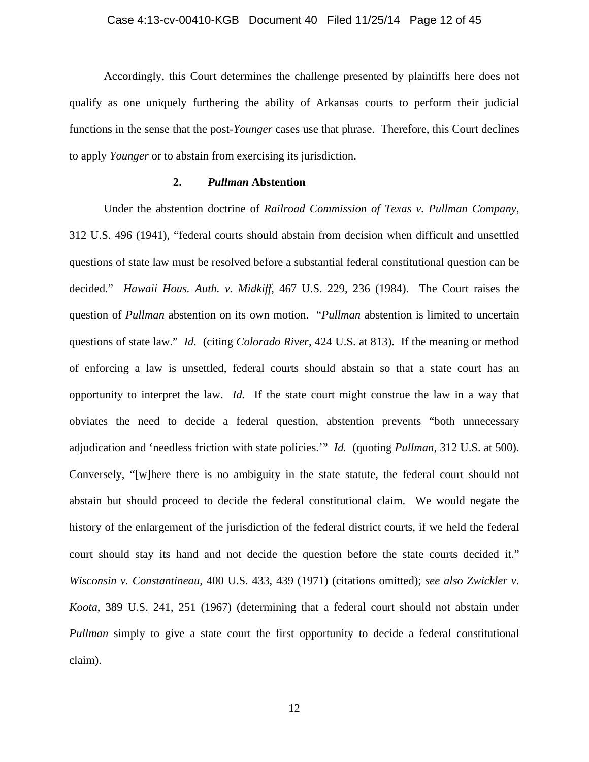Accordingly, this Court determines the challenge presented by plaintiffs here does not qualify as one uniquely furthering the ability of Arkansas courts to perform their judicial functions in the sense that the post-*Younger* cases use that phrase. Therefore, this Court declines to apply *Younger* or to abstain from exercising its jurisdiction.

# **2.** *Pullman* **Abstention**

Under the abstention doctrine of *Railroad Commission of Texas v. Pullman Company*, 312 U.S. 496 (1941), "federal courts should abstain from decision when difficult and unsettled questions of state law must be resolved before a substantial federal constitutional question can be decided." *Hawaii Hous. Auth. v. Midkiff*, 467 U.S. 229, 236 (1984). The Court raises the question of *Pullman* abstention on its own motion. "*Pullman* abstention is limited to uncertain questions of state law." *Id.* (citing *Colorado River*, 424 U.S. at 813). If the meaning or method of enforcing a law is unsettled, federal courts should abstain so that a state court has an opportunity to interpret the law. *Id.* If the state court might construe the law in a way that obviates the need to decide a federal question, abstention prevents "both unnecessary adjudication and 'needless friction with state policies.'" *Id.* (quoting *Pullman*, 312 U.S. at 500). Conversely, "[w]here there is no ambiguity in the state statute, the federal court should not abstain but should proceed to decide the federal constitutional claim. We would negate the history of the enlargement of the jurisdiction of the federal district courts, if we held the federal court should stay its hand and not decide the question before the state courts decided it." *Wisconsin v. Constantineau*, 400 U.S. 433, 439 (1971) (citations omitted); *see also Zwickler v. Koota*, 389 U.S. 241, 251 (1967) (determining that a federal court should not abstain under *Pullman* simply to give a state court the first opportunity to decide a federal constitutional claim).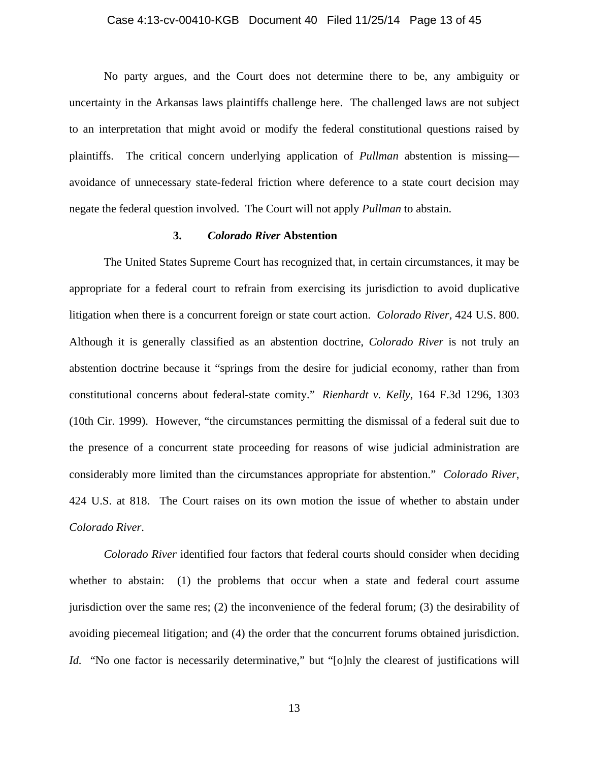#### Case 4:13-cv-00410-KGB Document 40 Filed 11/25/14 Page 13 of 45

No party argues, and the Court does not determine there to be, any ambiguity or uncertainty in the Arkansas laws plaintiffs challenge here. The challenged laws are not subject to an interpretation that might avoid or modify the federal constitutional questions raised by plaintiffs. The critical concern underlying application of *Pullman* abstention is missing avoidance of unnecessary state-federal friction where deference to a state court decision may negate the federal question involved. The Court will not apply *Pullman* to abstain.

#### **3.** *Colorado River* **Abstention**

The United States Supreme Court has recognized that, in certain circumstances, it may be appropriate for a federal court to refrain from exercising its jurisdiction to avoid duplicative litigation when there is a concurrent foreign or state court action. *Colorado River*, 424 U.S. 800. Although it is generally classified as an abstention doctrine, *Colorado River* is not truly an abstention doctrine because it "springs from the desire for judicial economy, rather than from constitutional concerns about federal-state comity." *Rienhardt v. Kelly*, 164 F.3d 1296, 1303 (10th Cir. 1999). However, "the circumstances permitting the dismissal of a federal suit due to the presence of a concurrent state proceeding for reasons of wise judicial administration are considerably more limited than the circumstances appropriate for abstention." *Colorado River*, 424 U.S. at 818. The Court raises on its own motion the issue of whether to abstain under *Colorado River*.

*Colorado River* identified four factors that federal courts should consider when deciding whether to abstain: (1) the problems that occur when a state and federal court assume jurisdiction over the same res; (2) the inconvenience of the federal forum; (3) the desirability of avoiding piecemeal litigation; and (4) the order that the concurrent forums obtained jurisdiction. *Id.* "No one factor is necessarily determinative," but "[o]nly the clearest of justifications will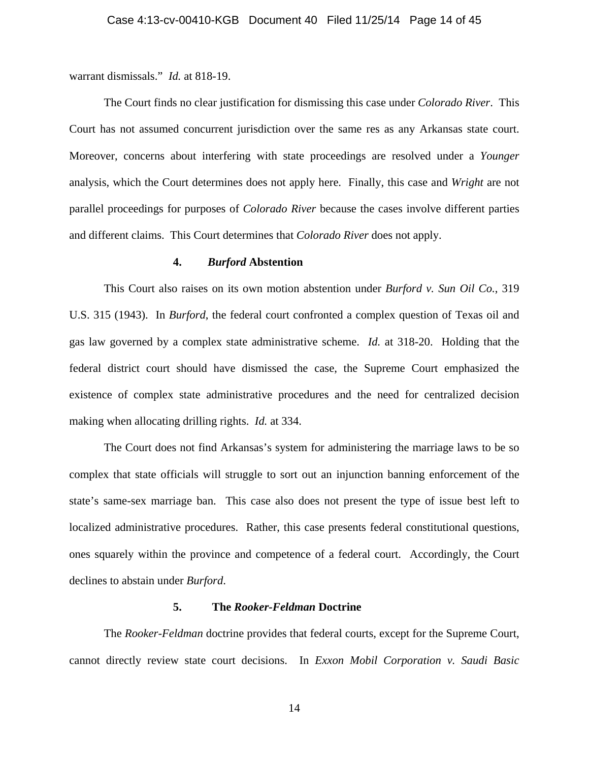warrant dismissals." *Id.* at 818-19.

The Court finds no clear justification for dismissing this case under *Colorado River*. This Court has not assumed concurrent jurisdiction over the same res as any Arkansas state court. Moreover, concerns about interfering with state proceedings are resolved under a *Younger* analysis, which the Court determines does not apply here. Finally, this case and *Wright* are not parallel proceedings for purposes of *Colorado River* because the cases involve different parties and different claims. This Court determines that *Colorado River* does not apply.

#### **4.** *Burford* **Abstention**

This Court also raises on its own motion abstention under *Burford v. Sun Oil Co.*, 319 U.S. 315 (1943). In *Burford*, the federal court confronted a complex question of Texas oil and gas law governed by a complex state administrative scheme. *Id.* at 318-20. Holding that the federal district court should have dismissed the case, the Supreme Court emphasized the existence of complex state administrative procedures and the need for centralized decision making when allocating drilling rights. *Id.* at 334.

The Court does not find Arkansas's system for administering the marriage laws to be so complex that state officials will struggle to sort out an injunction banning enforcement of the state's same-sex marriage ban. This case also does not present the type of issue best left to localized administrative procedures. Rather, this case presents federal constitutional questions, ones squarely within the province and competence of a federal court. Accordingly, the Court declines to abstain under *Burford*.

#### **5. The** *Rooker-Feldman* **Doctrine**

The *Rooker-Feldman* doctrine provides that federal courts, except for the Supreme Court, cannot directly review state court decisions. In *Exxon Mobil Corporation v. Saudi Basic*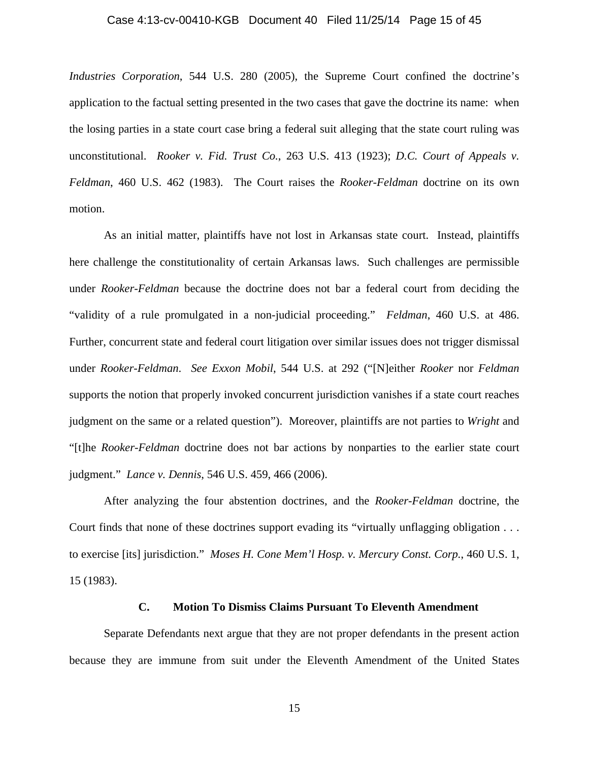#### Case 4:13-cv-00410-KGB Document 40 Filed 11/25/14 Page 15 of 45

*Industries Corporation*, 544 U.S. 280 (2005), the Supreme Court confined the doctrine's application to the factual setting presented in the two cases that gave the doctrine its name: when the losing parties in a state court case bring a federal suit alleging that the state court ruling was unconstitutional. *Rooker v. Fid. Trust Co.*, 263 U.S. 413 (1923); *D.C. Court of Appeals v. Feldman*, 460 U.S. 462 (1983). The Court raises the *Rooker-Feldman* doctrine on its own motion.

As an initial matter, plaintiffs have not lost in Arkansas state court. Instead, plaintiffs here challenge the constitutionality of certain Arkansas laws. Such challenges are permissible under *Rooker-Feldman* because the doctrine does not bar a federal court from deciding the "validity of a rule promulgated in a non-judicial proceeding." *Feldman*, 460 U.S. at 486. Further, concurrent state and federal court litigation over similar issues does not trigger dismissal under *Rooker-Feldman*. *See Exxon Mobil*, 544 U.S. at 292 ("[N]either *Rooker* nor *Feldman* supports the notion that properly invoked concurrent jurisdiction vanishes if a state court reaches judgment on the same or a related question"). Moreover, plaintiffs are not parties to *Wright* and "[t]he *Rooker-Feldman* doctrine does not bar actions by nonparties to the earlier state court judgment." *Lance v. Dennis*, 546 U.S. 459, 466 (2006).

After analyzing the four abstention doctrines, and the *Rooker-Feldman* doctrine, the Court finds that none of these doctrines support evading its "virtually unflagging obligation . . . to exercise [its] jurisdiction." *Moses H. Cone Mem'l Hosp. v. Mercury Const. Corp.*, 460 U.S. 1, 15 (1983).

# **C. Motion To Dismiss Claims Pursuant To Eleventh Amendment**

Separate Defendants next argue that they are not proper defendants in the present action because they are immune from suit under the Eleventh Amendment of the United States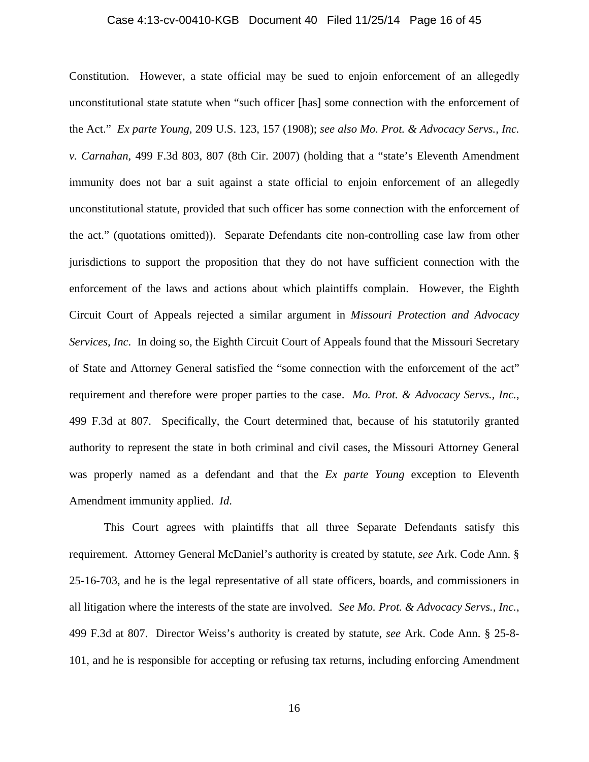#### Case 4:13-cv-00410-KGB Document 40 Filed 11/25/14 Page 16 of 45

Constitution. However, a state official may be sued to enjoin enforcement of an allegedly unconstitutional state statute when "such officer [has] some connection with the enforcement of the Act." *Ex parte Young*, 209 U.S. 123, 157 (1908); *see also Mo. Prot. & Advocacy Servs., Inc. v. Carnahan*, 499 F.3d 803, 807 (8th Cir. 2007) (holding that a "state's Eleventh Amendment immunity does not bar a suit against a state official to enjoin enforcement of an allegedly unconstitutional statute, provided that such officer has some connection with the enforcement of the act." (quotations omitted)). Separate Defendants cite non-controlling case law from other jurisdictions to support the proposition that they do not have sufficient connection with the enforcement of the laws and actions about which plaintiffs complain. However, the Eighth Circuit Court of Appeals rejected a similar argument in *Missouri Protection and Advocacy Services, Inc*. In doing so, the Eighth Circuit Court of Appeals found that the Missouri Secretary of State and Attorney General satisfied the "some connection with the enforcement of the act" requirement and therefore were proper parties to the case. *Mo. Prot. & Advocacy Servs., Inc.*, 499 F.3d at 807. Specifically, the Court determined that, because of his statutorily granted authority to represent the state in both criminal and civil cases, the Missouri Attorney General was properly named as a defendant and that the *Ex parte Young* exception to Eleventh Amendment immunity applied. *Id*.

This Court agrees with plaintiffs that all three Separate Defendants satisfy this requirement. Attorney General McDaniel's authority is created by statute, *see* Ark. Code Ann. § 25-16-703, and he is the legal representative of all state officers, boards, and commissioners in all litigation where the interests of the state are involved. *See Mo. Prot. & Advocacy Servs., Inc.*, 499 F.3d at 807. Director Weiss's authority is created by statute, *see* Ark. Code Ann. § 25-8- 101, and he is responsible for accepting or refusing tax returns, including enforcing Amendment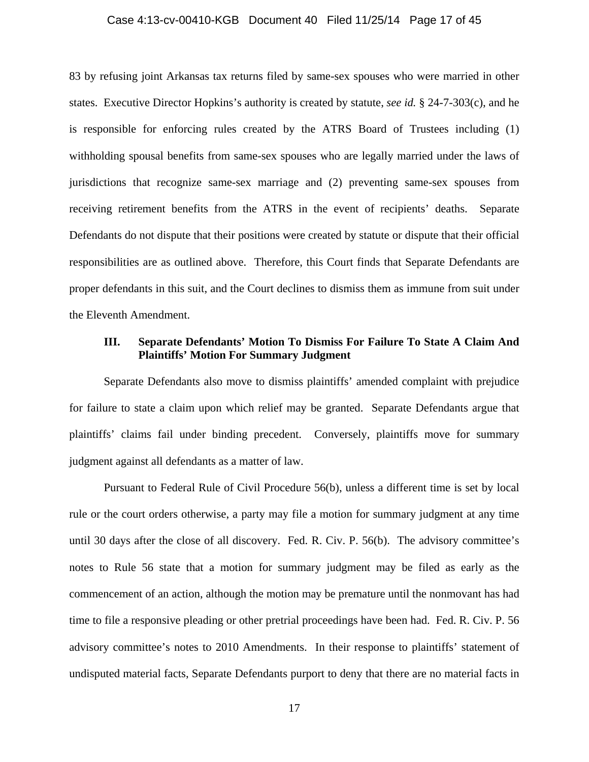#### Case 4:13-cv-00410-KGB Document 40 Filed 11/25/14 Page 17 of 45

83 by refusing joint Arkansas tax returns filed by same-sex spouses who were married in other states. Executive Director Hopkins's authority is created by statute, *see id.* § 24-7-303(c), and he is responsible for enforcing rules created by the ATRS Board of Trustees including (1) withholding spousal benefits from same-sex spouses who are legally married under the laws of jurisdictions that recognize same-sex marriage and (2) preventing same-sex spouses from receiving retirement benefits from the ATRS in the event of recipients' deaths. Separate Defendants do not dispute that their positions were created by statute or dispute that their official responsibilities are as outlined above. Therefore, this Court finds that Separate Defendants are proper defendants in this suit, and the Court declines to dismiss them as immune from suit under the Eleventh Amendment.

# **III. Separate Defendants' Motion To Dismiss For Failure To State A Claim And Plaintiffs' Motion For Summary Judgment**

Separate Defendants also move to dismiss plaintiffs' amended complaint with prejudice for failure to state a claim upon which relief may be granted. Separate Defendants argue that plaintiffs' claims fail under binding precedent. Conversely, plaintiffs move for summary judgment against all defendants as a matter of law.

Pursuant to Federal Rule of Civil Procedure 56(b), unless a different time is set by local rule or the court orders otherwise, a party may file a motion for summary judgment at any time until 30 days after the close of all discovery. Fed. R. Civ. P. 56(b). The advisory committee's notes to Rule 56 state that a motion for summary judgment may be filed as early as the commencement of an action, although the motion may be premature until the nonmovant has had time to file a responsive pleading or other pretrial proceedings have been had. Fed. R. Civ. P. 56 advisory committee's notes to 2010 Amendments. In their response to plaintiffs' statement of undisputed material facts, Separate Defendants purport to deny that there are no material facts in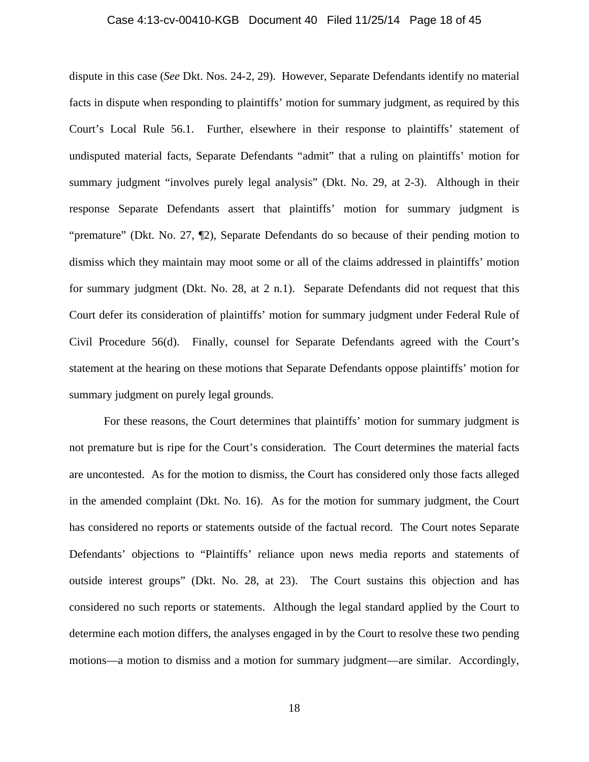#### Case 4:13-cv-00410-KGB Document 40 Filed 11/25/14 Page 18 of 45

dispute in this case (*See* Dkt. Nos. 24-2, 29). However, Separate Defendants identify no material facts in dispute when responding to plaintiffs' motion for summary judgment, as required by this Court's Local Rule 56.1. Further, elsewhere in their response to plaintiffs' statement of undisputed material facts, Separate Defendants "admit" that a ruling on plaintiffs' motion for summary judgment "involves purely legal analysis" (Dkt. No. 29, at 2-3). Although in their response Separate Defendants assert that plaintiffs' motion for summary judgment is "premature" (Dkt. No. 27, ¶2), Separate Defendants do so because of their pending motion to dismiss which they maintain may moot some or all of the claims addressed in plaintiffs' motion for summary judgment (Dkt. No. 28, at 2 n.1). Separate Defendants did not request that this Court defer its consideration of plaintiffs' motion for summary judgment under Federal Rule of Civil Procedure 56(d). Finally, counsel for Separate Defendants agreed with the Court's statement at the hearing on these motions that Separate Defendants oppose plaintiffs' motion for summary judgment on purely legal grounds.

For these reasons, the Court determines that plaintiffs' motion for summary judgment is not premature but is ripe for the Court's consideration. The Court determines the material facts are uncontested. As for the motion to dismiss, the Court has considered only those facts alleged in the amended complaint (Dkt. No. 16). As for the motion for summary judgment, the Court has considered no reports or statements outside of the factual record. The Court notes Separate Defendants' objections to "Plaintiffs' reliance upon news media reports and statements of outside interest groups" (Dkt. No. 28, at 23). The Court sustains this objection and has considered no such reports or statements. Although the legal standard applied by the Court to determine each motion differs, the analyses engaged in by the Court to resolve these two pending motions—a motion to dismiss and a motion for summary judgment—are similar. Accordingly,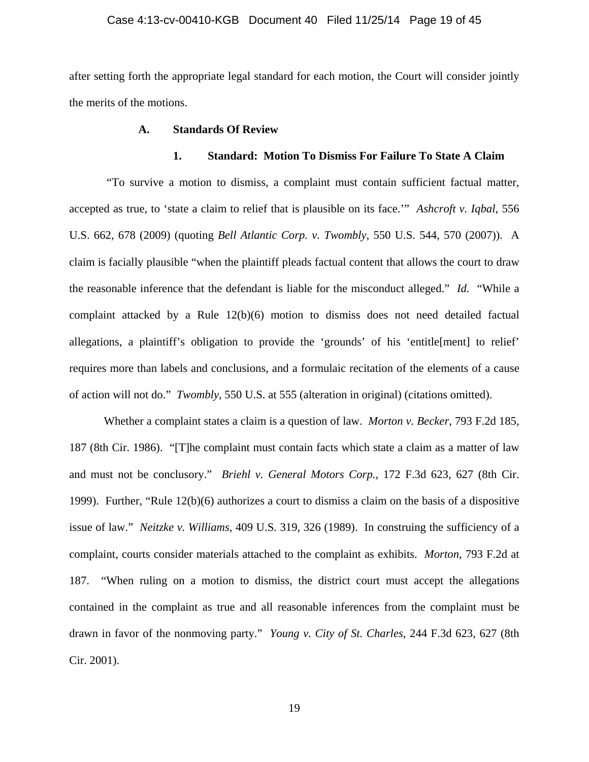#### Case 4:13-cv-00410-KGB Document 40 Filed 11/25/14 Page 19 of 45

after setting forth the appropriate legal standard for each motion, the Court will consider jointly the merits of the motions.

# **A. Standards Of Review**

#### **1. Standard: Motion To Dismiss For Failure To State A Claim**

 "To survive a motion to dismiss, a complaint must contain sufficient factual matter, accepted as true, to 'state a claim to relief that is plausible on its face.'" *Ashcroft v. Iqbal*, 556 U.S. 662, 678 (2009) (quoting *Bell Atlantic Corp. v. Twombly*, 550 U.S. 544, 570 (2007)). A claim is facially plausible "when the plaintiff pleads factual content that allows the court to draw the reasonable inference that the defendant is liable for the misconduct alleged." *Id.* "While a complaint attacked by a Rule 12(b)(6) motion to dismiss does not need detailed factual allegations, a plaintiff's obligation to provide the 'grounds' of his 'entitle[ment] to relief' requires more than labels and conclusions, and a formulaic recitation of the elements of a cause of action will not do." *Twombly*, 550 U.S. at 555 (alteration in original) (citations omitted).

Whether a complaint states a claim is a question of law. *Morton v. Becker*, 793 F.2d 185, 187 (8th Cir. 1986). "[T]he complaint must contain facts which state a claim as a matter of law and must not be conclusory." *Briehl v. General Motors Corp.*, 172 F.3d 623, 627 (8th Cir. 1999). Further, "Rule 12(b)(6) authorizes a court to dismiss a claim on the basis of a dispositive issue of law." *Neitzke v. Williams*, 409 U.S. 319, 326 (1989). In construing the sufficiency of a complaint, courts consider materials attached to the complaint as exhibits. *Morton*, 793 F.2d at 187. "When ruling on a motion to dismiss, the district court must accept the allegations contained in the complaint as true and all reasonable inferences from the complaint must be drawn in favor of the nonmoving party." *Young v. City of St. Charles*, 244 F.3d 623, 627 (8th Cir. 2001).

19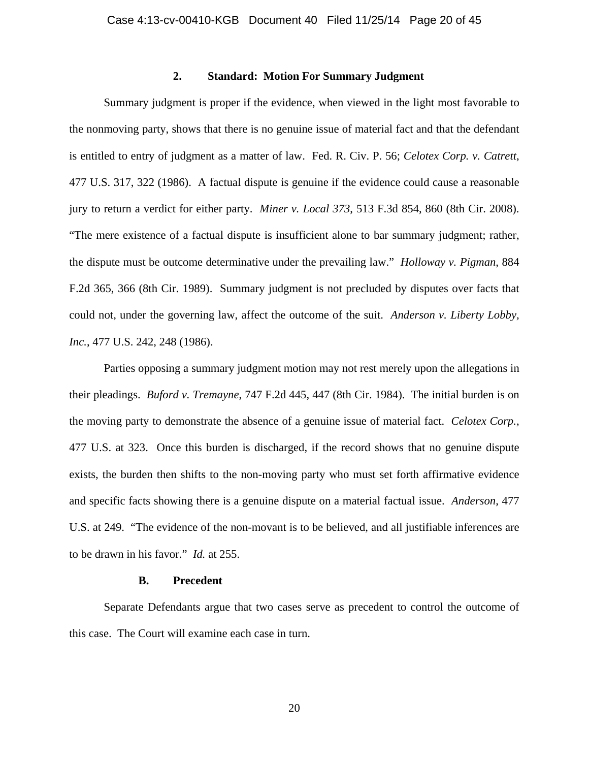# **2. Standard: Motion For Summary Judgment**

Summary judgment is proper if the evidence, when viewed in the light most favorable to the nonmoving party, shows that there is no genuine issue of material fact and that the defendant is entitled to entry of judgment as a matter of law. Fed. R. Civ. P. 56; *Celotex Corp. v. Catrett*, 477 U.S. 317, 322 (1986). A factual dispute is genuine if the evidence could cause a reasonable jury to return a verdict for either party. *Miner v. Local 373*, 513 F.3d 854, 860 (8th Cir. 2008). "The mere existence of a factual dispute is insufficient alone to bar summary judgment; rather, the dispute must be outcome determinative under the prevailing law." *Holloway v. Pigman*, 884 F.2d 365, 366 (8th Cir. 1989). Summary judgment is not precluded by disputes over facts that could not, under the governing law, affect the outcome of the suit. *Anderson v. Liberty Lobby, Inc.*, 477 U.S. 242, 248 (1986).

Parties opposing a summary judgment motion may not rest merely upon the allegations in their pleadings. *Buford v. Tremayne*, 747 F.2d 445, 447 (8th Cir. 1984). The initial burden is on the moving party to demonstrate the absence of a genuine issue of material fact. *Celotex Corp.*, 477 U.S. at 323. Once this burden is discharged, if the record shows that no genuine dispute exists, the burden then shifts to the non-moving party who must set forth affirmative evidence and specific facts showing there is a genuine dispute on a material factual issue. *Anderson*, 477 U.S. at 249. "The evidence of the non-movant is to be believed, and all justifiable inferences are to be drawn in his favor." *Id.* at 255.

# **B. Precedent**

Separate Defendants argue that two cases serve as precedent to control the outcome of this case. The Court will examine each case in turn.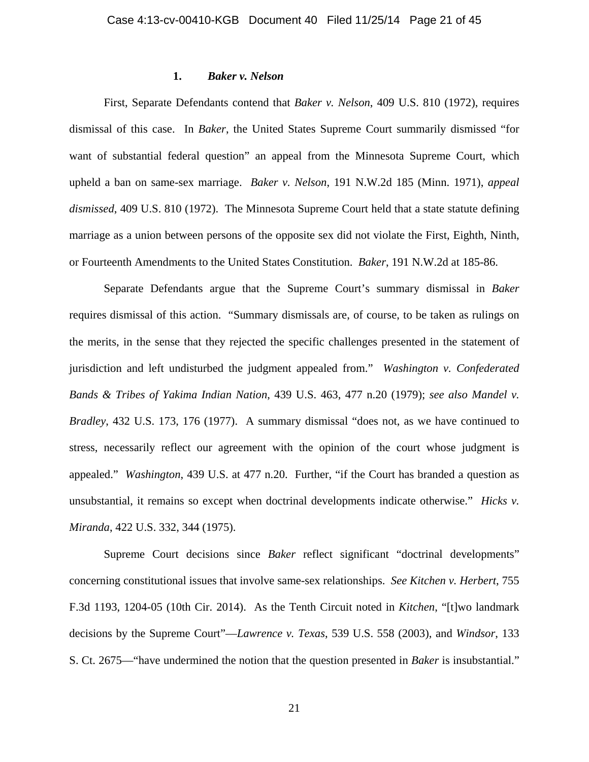### **1.** *Baker v. Nelson*

First, Separate Defendants contend that *Baker v. Nelson*, 409 U.S. 810 (1972), requires dismissal of this case. In *Baker*, the United States Supreme Court summarily dismissed "for want of substantial federal question" an appeal from the Minnesota Supreme Court, which upheld a ban on same-sex marriage. *Baker v. Nelson*, 191 N.W.2d 185 (Minn. 1971), *appeal dismissed*, 409 U.S. 810 (1972). The Minnesota Supreme Court held that a state statute defining marriage as a union between persons of the opposite sex did not violate the First, Eighth, Ninth, or Fourteenth Amendments to the United States Constitution. *Baker*, 191 N.W.2d at 185-86.

Separate Defendants argue that the Supreme Court's summary dismissal in *Baker* requires dismissal of this action. "Summary dismissals are, of course, to be taken as rulings on the merits, in the sense that they rejected the specific challenges presented in the statement of jurisdiction and left undisturbed the judgment appealed from." *Washington v. Confederated Bands & Tribes of Yakima Indian Nation*, 439 U.S. 463, 477 n.20 (1979); *see also Mandel v. Bradley*, 432 U.S. 173, 176 (1977). A summary dismissal "does not, as we have continued to stress, necessarily reflect our agreement with the opinion of the court whose judgment is appealed." *Washington*, 439 U.S. at 477 n.20. Further, "if the Court has branded a question as unsubstantial, it remains so except when doctrinal developments indicate otherwise." *Hicks v. Miranda*, 422 U.S. 332, 344 (1975).

Supreme Court decisions since *Baker* reflect significant "doctrinal developments" concerning constitutional issues that involve same-sex relationships. *See Kitchen v. Herbert*, 755 F.3d 1193, 1204-05 (10th Cir. 2014). As the Tenth Circuit noted in *Kitchen*, "[t]wo landmark decisions by the Supreme Court"—*Lawrence v. Texas*, 539 U.S. 558 (2003), and *Windsor*, 133 S. Ct. 2675—"have undermined the notion that the question presented in *Baker* is insubstantial."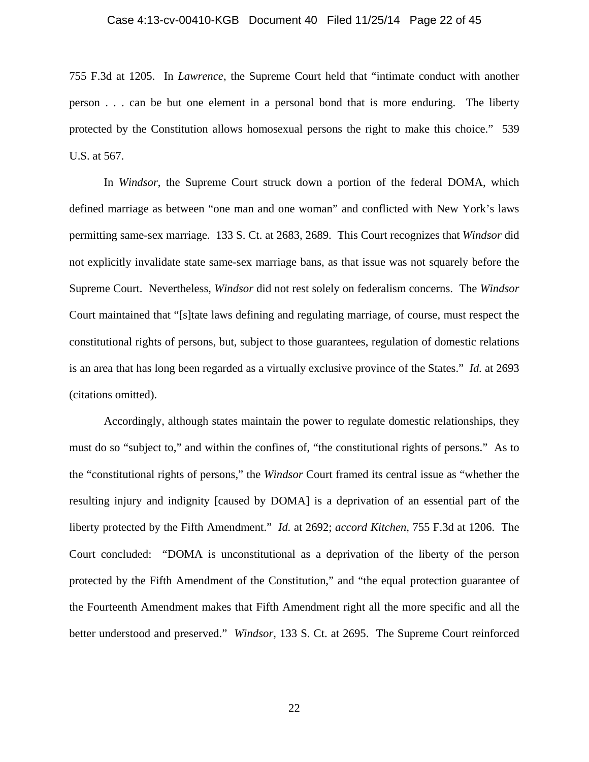#### Case 4:13-cv-00410-KGB Document 40 Filed 11/25/14 Page 22 of 45

755 F.3d at 1205. In *Lawrence*, the Supreme Court held that "intimate conduct with another person . . . can be but one element in a personal bond that is more enduring. The liberty protected by the Constitution allows homosexual persons the right to make this choice." 539 U.S. at 567.

In *Windsor*, the Supreme Court struck down a portion of the federal DOMA, which defined marriage as between "one man and one woman" and conflicted with New York's laws permitting same-sex marriage. 133 S. Ct. at 2683, 2689. This Court recognizes that *Windsor* did not explicitly invalidate state same-sex marriage bans, as that issue was not squarely before the Supreme Court. Nevertheless, *Windsor* did not rest solely on federalism concerns. The *Windsor*  Court maintained that "[s]tate laws defining and regulating marriage, of course, must respect the constitutional rights of persons, but, subject to those guarantees, regulation of domestic relations is an area that has long been regarded as a virtually exclusive province of the States." *Id.* at 2693 (citations omitted).

Accordingly, although states maintain the power to regulate domestic relationships, they must do so "subject to," and within the confines of, "the constitutional rights of persons." As to the "constitutional rights of persons," the *Windsor* Court framed its central issue as "whether the resulting injury and indignity [caused by DOMA] is a deprivation of an essential part of the liberty protected by the Fifth Amendment." *Id.* at 2692; *accord Kitchen*, 755 F.3d at 1206. The Court concluded: "DOMA is unconstitutional as a deprivation of the liberty of the person protected by the Fifth Amendment of the Constitution," and "the equal protection guarantee of the Fourteenth Amendment makes that Fifth Amendment right all the more specific and all the better understood and preserved." *Windsor*, 133 S. Ct. at 2695. The Supreme Court reinforced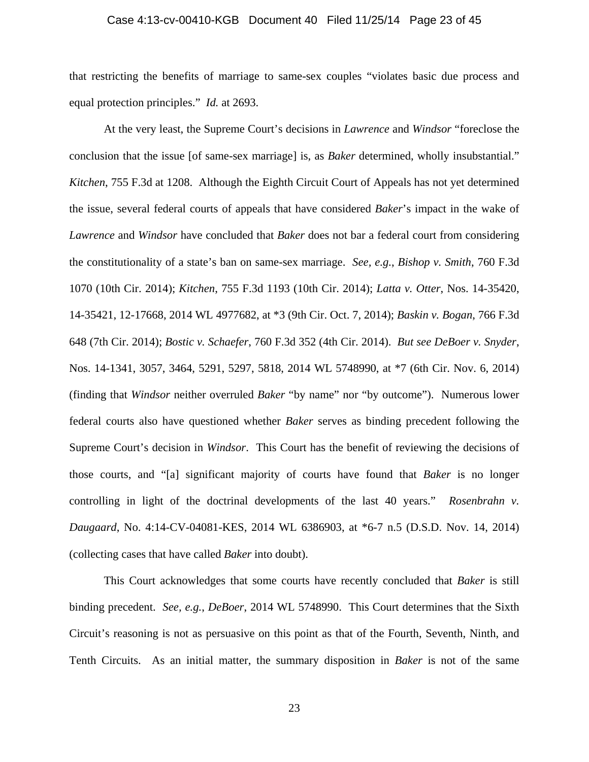#### Case 4:13-cv-00410-KGB Document 40 Filed 11/25/14 Page 23 of 45

that restricting the benefits of marriage to same-sex couples "violates basic due process and equal protection principles." *Id.* at 2693.

At the very least, the Supreme Court's decisions in *Lawrence* and *Windsor* "foreclose the conclusion that the issue [of same-sex marriage] is, as *Baker* determined, wholly insubstantial." *Kitchen*, 755 F.3d at 1208. Although the Eighth Circuit Court of Appeals has not yet determined the issue, several federal courts of appeals that have considered *Baker*'s impact in the wake of *Lawrence* and *Windsor* have concluded that *Baker* does not bar a federal court from considering the constitutionality of a state's ban on same-sex marriage. *See, e.g.*, *Bishop v. Smith*, 760 F.3d 1070 (10th Cir. 2014); *Kitchen*, 755 F.3d 1193 (10th Cir. 2014); *Latta v. Otter*, Nos. 14-35420, 14-35421, 12-17668, 2014 WL 4977682, at \*3 (9th Cir. Oct. 7, 2014); *Baskin v. Bogan*, 766 F.3d 648 (7th Cir. 2014); *Bostic v. Schaefer*, 760 F.3d 352 (4th Cir. 2014). *But see DeBoer v. Snyder*, Nos. 14-1341, 3057, 3464, 5291, 5297, 5818, 2014 WL 5748990, at \*7 (6th Cir. Nov. 6, 2014) (finding that *Windsor* neither overruled *Baker* "by name" nor "by outcome"). Numerous lower federal courts also have questioned whether *Baker* serves as binding precedent following the Supreme Court's decision in *Windsor*. This Court has the benefit of reviewing the decisions of those courts, and "[a] significant majority of courts have found that *Baker* is no longer controlling in light of the doctrinal developments of the last 40 years." *Rosenbrahn v. Daugaard*, No. 4:14-CV-04081-KES, 2014 WL 6386903, at \*6-7 n.5 (D.S.D. Nov. 14, 2014) (collecting cases that have called *Baker* into doubt).

This Court acknowledges that some courts have recently concluded that *Baker* is still binding precedent. *See, e.g.*, *DeBoer*, 2014 WL 5748990. This Court determines that the Sixth Circuit's reasoning is not as persuasive on this point as that of the Fourth, Seventh, Ninth, and Tenth Circuits. As an initial matter, the summary disposition in *Baker* is not of the same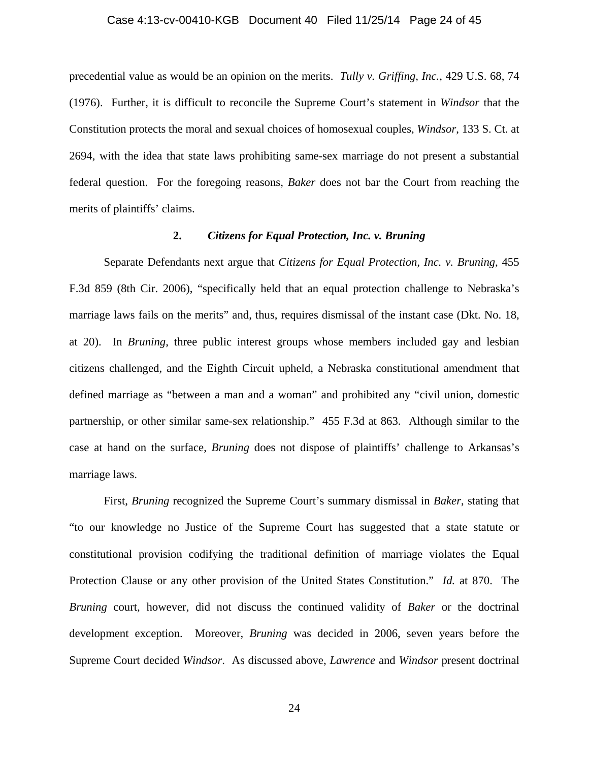#### Case 4:13-cv-00410-KGB Document 40 Filed 11/25/14 Page 24 of 45

precedential value as would be an opinion on the merits. *Tully v. Griffing, Inc.*, 429 U.S. 68, 74 (1976). Further, it is difficult to reconcile the Supreme Court's statement in *Windsor* that the Constitution protects the moral and sexual choices of homosexual couples, *Windsor*, 133 S. Ct. at 2694, with the idea that state laws prohibiting same-sex marriage do not present a substantial federal question. For the foregoing reasons, *Baker* does not bar the Court from reaching the merits of plaintiffs' claims.

# **2.** *Citizens for Equal Protection, Inc. v. Bruning*

Separate Defendants next argue that *Citizens for Equal Protection, Inc. v. Bruning*, 455 F.3d 859 (8th Cir. 2006), "specifically held that an equal protection challenge to Nebraska's marriage laws fails on the merits" and, thus, requires dismissal of the instant case (Dkt. No. 18, at 20). In *Bruning*, three public interest groups whose members included gay and lesbian citizens challenged, and the Eighth Circuit upheld, a Nebraska constitutional amendment that defined marriage as "between a man and a woman" and prohibited any "civil union, domestic partnership, or other similar same-sex relationship." 455 F.3d at 863. Although similar to the case at hand on the surface, *Bruning* does not dispose of plaintiffs' challenge to Arkansas's marriage laws.

First, *Bruning* recognized the Supreme Court's summary dismissal in *Baker*, stating that "to our knowledge no Justice of the Supreme Court has suggested that a state statute or constitutional provision codifying the traditional definition of marriage violates the Equal Protection Clause or any other provision of the United States Constitution." *Id.* at 870. The *Bruning* court, however, did not discuss the continued validity of *Baker* or the doctrinal development exception. Moreover, *Bruning* was decided in 2006, seven years before the Supreme Court decided *Windsor*. As discussed above, *Lawrence* and *Windsor* present doctrinal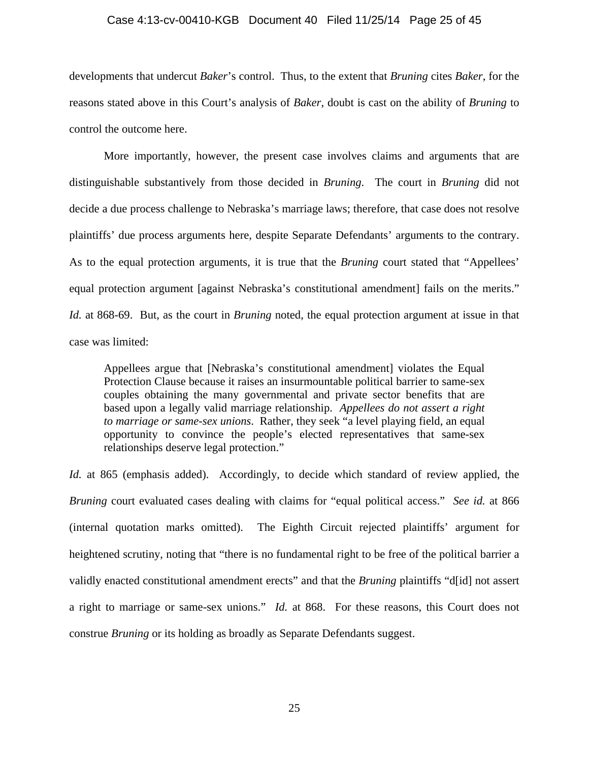#### Case 4:13-cv-00410-KGB Document 40 Filed 11/25/14 Page 25 of 45

developments that undercut *Baker*'s control. Thus, to the extent that *Bruning* cites *Baker*, for the reasons stated above in this Court's analysis of *Baker*, doubt is cast on the ability of *Bruning* to control the outcome here.

More importantly, however, the present case involves claims and arguments that are distinguishable substantively from those decided in *Bruning*. The court in *Bruning* did not decide a due process challenge to Nebraska's marriage laws; therefore, that case does not resolve plaintiffs' due process arguments here, despite Separate Defendants' arguments to the contrary. As to the equal protection arguments, it is true that the *Bruning* court stated that "Appellees' equal protection argument [against Nebraska's constitutional amendment] fails on the merits." *Id.* at 868-69. But, as the court in *Bruning* noted, the equal protection argument at issue in that case was limited:

Appellees argue that [Nebraska's constitutional amendment] violates the Equal Protection Clause because it raises an insurmountable political barrier to same-sex couples obtaining the many governmental and private sector benefits that are based upon a legally valid marriage relationship. *Appellees do not assert a right to marriage or same-sex unions*. Rather, they seek "a level playing field, an equal opportunity to convince the people's elected representatives that same-sex relationships deserve legal protection."

*Id.* at 865 (emphasis added). Accordingly, to decide which standard of review applied, the *Bruning* court evaluated cases dealing with claims for "equal political access." *See id.* at 866 (internal quotation marks omitted). The Eighth Circuit rejected plaintiffs' argument for heightened scrutiny, noting that "there is no fundamental right to be free of the political barrier a validly enacted constitutional amendment erects" and that the *Bruning* plaintiffs "d[id] not assert a right to marriage or same-sex unions." *Id.* at 868. For these reasons, this Court does not construe *Bruning* or its holding as broadly as Separate Defendants suggest.

25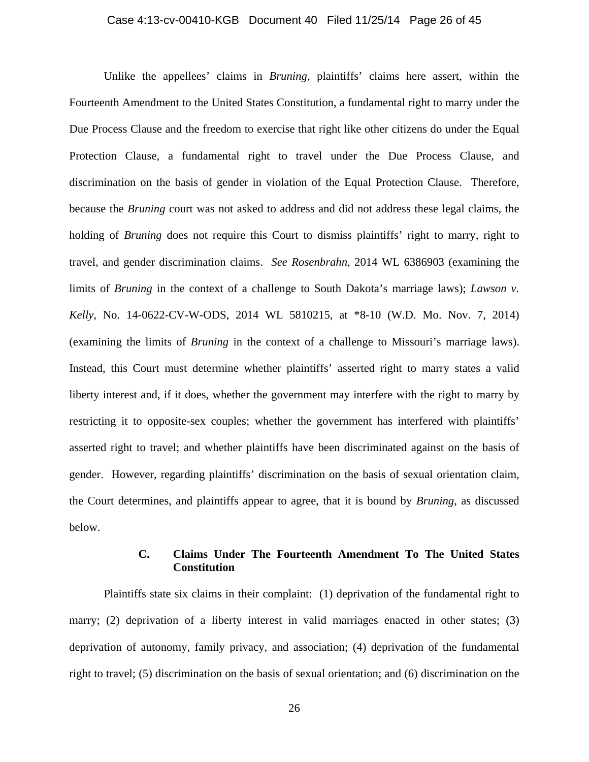#### Case 4:13-cv-00410-KGB Document 40 Filed 11/25/14 Page 26 of 45

Unlike the appellees' claims in *Bruning*, plaintiffs' claims here assert, within the Fourteenth Amendment to the United States Constitution, a fundamental right to marry under the Due Process Clause and the freedom to exercise that right like other citizens do under the Equal Protection Clause, a fundamental right to travel under the Due Process Clause, and discrimination on the basis of gender in violation of the Equal Protection Clause. Therefore, because the *Bruning* court was not asked to address and did not address these legal claims, the holding of *Bruning* does not require this Court to dismiss plaintiffs' right to marry, right to travel, and gender discrimination claims. *See Rosenbrahn*, 2014 WL 6386903 (examining the limits of *Bruning* in the context of a challenge to South Dakota's marriage laws); *Lawson v. Kelly*, No. 14-0622-CV-W-ODS, 2014 WL 5810215, at \*8-10 (W.D. Mo. Nov. 7, 2014) (examining the limits of *Bruning* in the context of a challenge to Missouri's marriage laws). Instead, this Court must determine whether plaintiffs' asserted right to marry states a valid liberty interest and, if it does, whether the government may interfere with the right to marry by restricting it to opposite-sex couples; whether the government has interfered with plaintiffs' asserted right to travel; and whether plaintiffs have been discriminated against on the basis of gender. However, regarding plaintiffs' discrimination on the basis of sexual orientation claim, the Court determines, and plaintiffs appear to agree, that it is bound by *Bruning*, as discussed below.

# **C. Claims Under The Fourteenth Amendment To The United States Constitution**

Plaintiffs state six claims in their complaint: (1) deprivation of the fundamental right to marry; (2) deprivation of a liberty interest in valid marriages enacted in other states; (3) deprivation of autonomy, family privacy, and association; (4) deprivation of the fundamental right to travel; (5) discrimination on the basis of sexual orientation; and (6) discrimination on the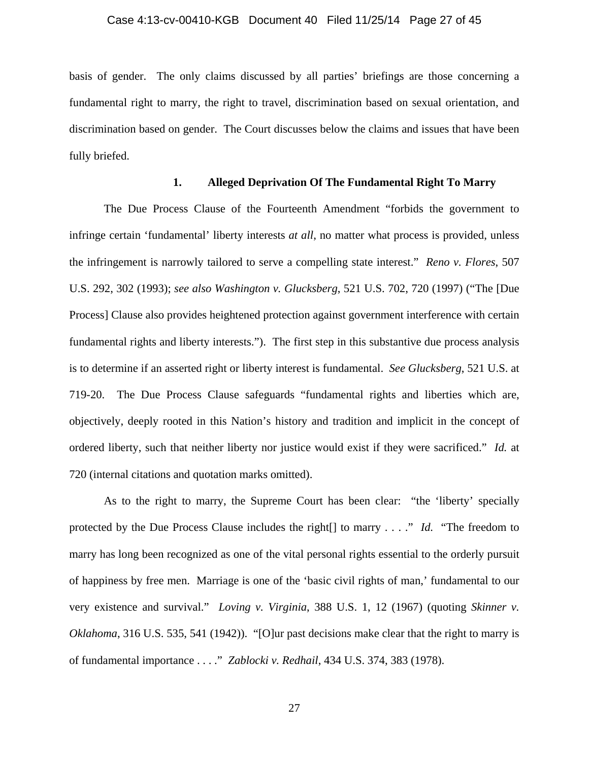#### Case 4:13-cv-00410-KGB Document 40 Filed 11/25/14 Page 27 of 45

basis of gender. The only claims discussed by all parties' briefings are those concerning a fundamental right to marry, the right to travel, discrimination based on sexual orientation, and discrimination based on gender. The Court discusses below the claims and issues that have been fully briefed.

## **1. Alleged Deprivation Of The Fundamental Right To Marry**

The Due Process Clause of the Fourteenth Amendment "forbids the government to infringe certain 'fundamental' liberty interests *at all*, no matter what process is provided, unless the infringement is narrowly tailored to serve a compelling state interest." *Reno v. Flores*, 507 U.S. 292, 302 (1993); *see also Washington v. Glucksberg*, 521 U.S. 702, 720 (1997) ("The [Due Process] Clause also provides heightened protection against government interference with certain fundamental rights and liberty interests."). The first step in this substantive due process analysis is to determine if an asserted right or liberty interest is fundamental. *See Glucksberg*, 521 U.S. at 719-20. The Due Process Clause safeguards "fundamental rights and liberties which are, objectively, deeply rooted in this Nation's history and tradition and implicit in the concept of ordered liberty, such that neither liberty nor justice would exist if they were sacrificed." *Id.* at 720 (internal citations and quotation marks omitted).

As to the right to marry, the Supreme Court has been clear: "the 'liberty' specially protected by the Due Process Clause includes the right[] to marry . . . ." *Id.* "The freedom to marry has long been recognized as one of the vital personal rights essential to the orderly pursuit of happiness by free men. Marriage is one of the 'basic civil rights of man,' fundamental to our very existence and survival." *Loving v. Virginia*, 388 U.S. 1, 12 (1967) (quoting *Skinner v. Oklahoma*, 316 U.S. 535, 541 (1942)). "[O]ur past decisions make clear that the right to marry is of fundamental importance . . . ." *Zablocki v. Redhail*, 434 U.S. 374, 383 (1978).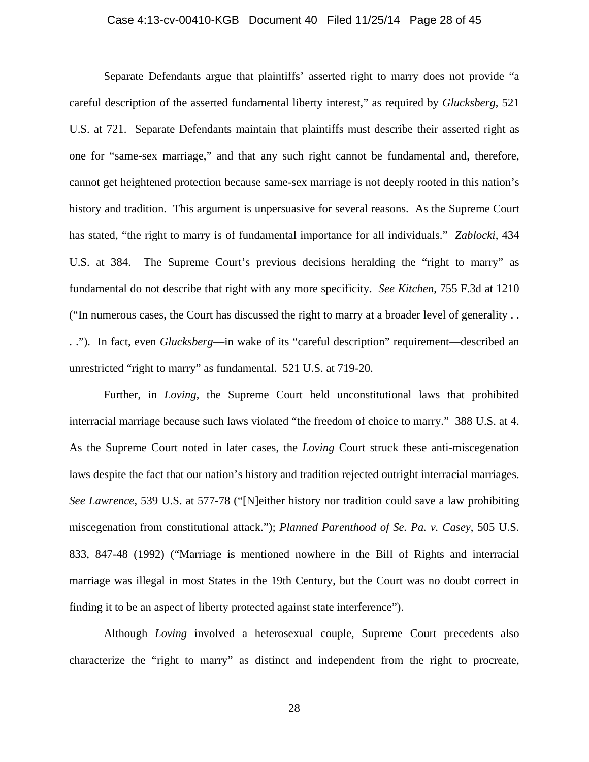#### Case 4:13-cv-00410-KGB Document 40 Filed 11/25/14 Page 28 of 45

Separate Defendants argue that plaintiffs' asserted right to marry does not provide "a careful description of the asserted fundamental liberty interest," as required by *Glucksberg*, 521 U.S. at 721. Separate Defendants maintain that plaintiffs must describe their asserted right as one for "same-sex marriage," and that any such right cannot be fundamental and, therefore, cannot get heightened protection because same-sex marriage is not deeply rooted in this nation's history and tradition. This argument is unpersuasive for several reasons. As the Supreme Court has stated, "the right to marry is of fundamental importance for all individuals." *Zablocki*, 434 U.S. at 384. The Supreme Court's previous decisions heralding the "right to marry" as fundamental do not describe that right with any more specificity. *See Kitchen*, 755 F.3d at 1210 ("In numerous cases, the Court has discussed the right to marry at a broader level of generality . . . ."). In fact, even *Glucksberg*—in wake of its "careful description" requirement—described an unrestricted "right to marry" as fundamental. 521 U.S. at 719-20.

Further, in *Loving*, the Supreme Court held unconstitutional laws that prohibited interracial marriage because such laws violated "the freedom of choice to marry." 388 U.S. at 4. As the Supreme Court noted in later cases, the *Loving* Court struck these anti-miscegenation laws despite the fact that our nation's history and tradition rejected outright interracial marriages. *See Lawrence*, 539 U.S. at 577-78 ("[N]either history nor tradition could save a law prohibiting miscegenation from constitutional attack."); *Planned Parenthood of Se. Pa. v. Casey*, 505 U.S. 833, 847-48 (1992) ("Marriage is mentioned nowhere in the Bill of Rights and interracial marriage was illegal in most States in the 19th Century, but the Court was no doubt correct in finding it to be an aspect of liberty protected against state interference").

Although *Loving* involved a heterosexual couple, Supreme Court precedents also characterize the "right to marry" as distinct and independent from the right to procreate,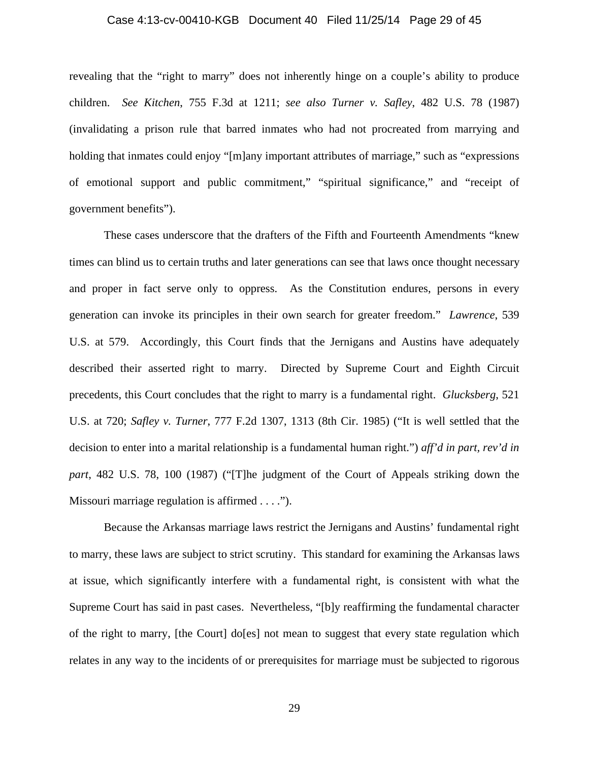#### Case 4:13-cv-00410-KGB Document 40 Filed 11/25/14 Page 29 of 45

revealing that the "right to marry" does not inherently hinge on a couple's ability to produce children. *See Kitchen*, 755 F.3d at 1211; *see also Turner v. Safley*, 482 U.S. 78 (1987) (invalidating a prison rule that barred inmates who had not procreated from marrying and holding that inmates could enjoy "[m]any important attributes of marriage," such as "expressions" of emotional support and public commitment," "spiritual significance," and "receipt of government benefits").

These cases underscore that the drafters of the Fifth and Fourteenth Amendments "knew times can blind us to certain truths and later generations can see that laws once thought necessary and proper in fact serve only to oppress. As the Constitution endures, persons in every generation can invoke its principles in their own search for greater freedom." *Lawrence*, 539 U.S. at 579.Accordingly, this Court finds that the Jernigans and Austins have adequately described their asserted right to marry. Directed by Supreme Court and Eighth Circuit precedents, this Court concludes that the right to marry is a fundamental right. *Glucksberg*, 521 U.S. at 720; *Safley v. Turner*, 777 F.2d 1307, 1313 (8th Cir. 1985) ("It is well settled that the decision to enter into a marital relationship is a fundamental human right.") *aff'd in part, rev'd in part*, 482 U.S. 78, 100 (1987) ("[T]he judgment of the Court of Appeals striking down the Missouri marriage regulation is affirmed . . . .").

Because the Arkansas marriage laws restrict the Jernigans and Austins' fundamental right to marry, these laws are subject to strict scrutiny. This standard for examining the Arkansas laws at issue, which significantly interfere with a fundamental right, is consistent with what the Supreme Court has said in past cases. Nevertheless, "[b]y reaffirming the fundamental character of the right to marry, [the Court] do[es] not mean to suggest that every state regulation which relates in any way to the incidents of or prerequisites for marriage must be subjected to rigorous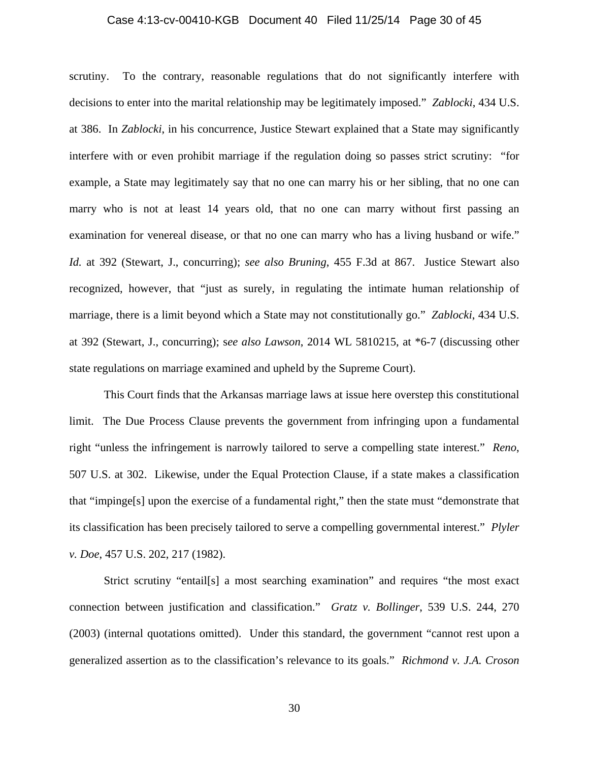#### Case 4:13-cv-00410-KGB Document 40 Filed 11/25/14 Page 30 of 45

scrutiny. To the contrary, reasonable regulations that do not significantly interfere with decisions to enter into the marital relationship may be legitimately imposed." *Zablocki*, 434 U.S. at 386. In *Zablocki*, in his concurrence, Justice Stewart explained that a State may significantly interfere with or even prohibit marriage if the regulation doing so passes strict scrutiny: "for example, a State may legitimately say that no one can marry his or her sibling, that no one can marry who is not at least 14 years old, that no one can marry without first passing an examination for venereal disease, or that no one can marry who has a living husband or wife." *Id.* at 392 (Stewart, J., concurring); *see also Bruning*, 455 F.3d at 867. Justice Stewart also recognized, however, that "just as surely, in regulating the intimate human relationship of marriage, there is a limit beyond which a State may not constitutionally go." *Zablocki*, 434 U.S. at 392 (Stewart, J., concurring); s*ee also Lawson*, 2014 WL 5810215, at \*6-7 (discussing other state regulations on marriage examined and upheld by the Supreme Court).

This Court finds that the Arkansas marriage laws at issue here overstep this constitutional limit. The Due Process Clause prevents the government from infringing upon a fundamental right "unless the infringement is narrowly tailored to serve a compelling state interest." *Reno*, 507 U.S. at 302. Likewise, under the Equal Protection Clause, if a state makes a classification that "impinge[s] upon the exercise of a fundamental right," then the state must "demonstrate that its classification has been precisely tailored to serve a compelling governmental interest." *Plyler v. Doe*, 457 U.S. 202, 217 (1982).

Strict scrutiny "entail[s] a most searching examination" and requires "the most exact connection between justification and classification." *Gratz v. Bollinger*, 539 U.S. 244, 270 (2003) (internal quotations omitted). Under this standard, the government "cannot rest upon a generalized assertion as to the classification's relevance to its goals." *Richmond v. J.A. Croson*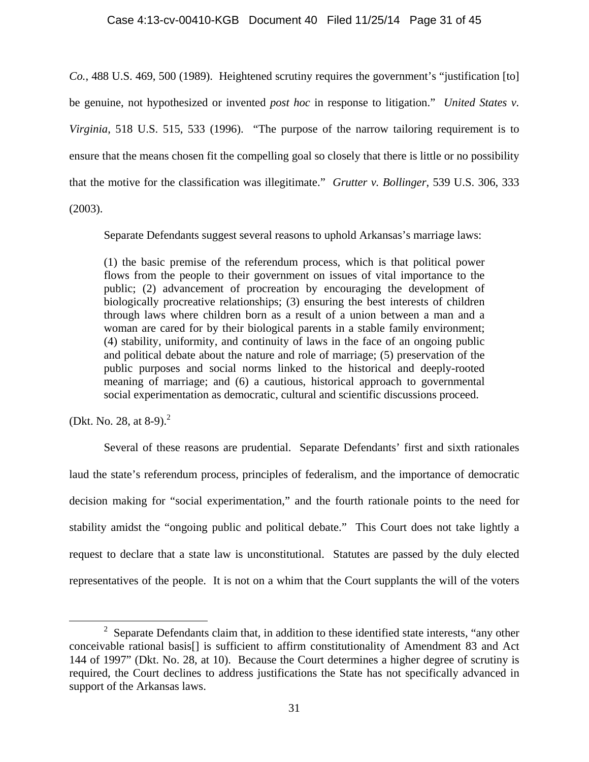# Case 4:13-cv-00410-KGB Document 40 Filed 11/25/14 Page 31 of 45

*Co.*, 488 U.S. 469, 500 (1989).Heightened scrutiny requires the government's "justification [to] be genuine, not hypothesized or invented *post hoc* in response to litigation." *United States v. Virginia*, 518 U.S. 515, 533 (1996). "The purpose of the narrow tailoring requirement is to ensure that the means chosen fit the compelling goal so closely that there is little or no possibility that the motive for the classification was illegitimate." *Grutter v. Bollinger*, 539 U.S. 306, 333

(2003).

Separate Defendants suggest several reasons to uphold Arkansas's marriage laws:

(1) the basic premise of the referendum process, which is that political power flows from the people to their government on issues of vital importance to the public; (2) advancement of procreation by encouraging the development of biologically procreative relationships; (3) ensuring the best interests of children through laws where children born as a result of a union between a man and a woman are cared for by their biological parents in a stable family environment; (4) stability, uniformity, and continuity of laws in the face of an ongoing public and political debate about the nature and role of marriage; (5) preservation of the public purposes and social norms linked to the historical and deeply-rooted meaning of marriage; and (6) a cautious, historical approach to governmental social experimentation as democratic, cultural and scientific discussions proceed.

(Dkt. No. 28, at  $8-9$ ).<sup>2</sup>

Several of these reasons are prudential. Separate Defendants' first and sixth rationales laud the state's referendum process, principles of federalism, and the importance of democratic decision making for "social experimentation," and the fourth rationale points to the need for stability amidst the "ongoing public and political debate." This Court does not take lightly a request to declare that a state law is unconstitutional. Statutes are passed by the duly elected representatives of the people. It is not on a whim that the Court supplants the will of the voters

 $\overline{\phantom{a}}$  2  $2$  Separate Defendants claim that, in addition to these identified state interests, "any other conceivable rational basis[] is sufficient to affirm constitutionality of Amendment 83 and Act 144 of 1997" (Dkt. No. 28, at 10). Because the Court determines a higher degree of scrutiny is required, the Court declines to address justifications the State has not specifically advanced in support of the Arkansas laws.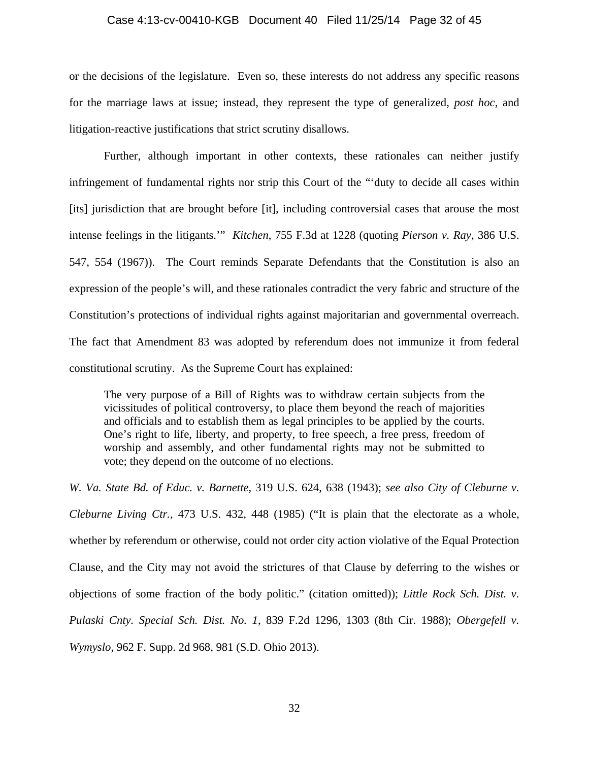#### Case 4:13-cv-00410-KGB Document 40 Filed 11/25/14 Page 32 of 45

or the decisions of the legislature. Even so, these interests do not address any specific reasons for the marriage laws at issue; instead, they represent the type of generalized, *post hoc*, and litigation-reactive justifications that strict scrutiny disallows.

Further, although important in other contexts, these rationales can neither justify infringement of fundamental rights nor strip this Court of the "'duty to decide all cases within [its] jurisdiction that are brought before [it], including controversial cases that arouse the most intense feelings in the litigants.'" *Kitchen*, 755 F.3d at 1228 (quoting *Pierson v. Ray*, 386 U.S. 547, 554 (1967)). The Court reminds Separate Defendants that the Constitution is also an expression of the people's will, and these rationales contradict the very fabric and structure of the Constitution's protections of individual rights against majoritarian and governmental overreach. The fact that Amendment 83 was adopted by referendum does not immunize it from federal constitutional scrutiny. As the Supreme Court has explained:

The very purpose of a Bill of Rights was to withdraw certain subjects from the vicissitudes of political controversy, to place them beyond the reach of majorities and officials and to establish them as legal principles to be applied by the courts. One's right to life, liberty, and property, to free speech, a free press, freedom of worship and assembly, and other fundamental rights may not be submitted to vote; they depend on the outcome of no elections.

*W. Va. State Bd. of Educ. v. Barnette*, 319 U.S. 624, 638 (1943); *see also City of Cleburne v. Cleburne Living Ctr.*, 473 U.S. 432, 448 (1985) ("It is plain that the electorate as a whole, whether by referendum or otherwise, could not order city action violative of the Equal Protection Clause, and the City may not avoid the strictures of that Clause by deferring to the wishes or objections of some fraction of the body politic." (citation omitted)); *Little Rock Sch. Dist. v. Pulaski Cnty. Special Sch. Dist. No. 1*, 839 F.2d 1296, 1303 (8th Cir. 1988); *Obergefell v. Wymyslo*, 962 F. Supp. 2d 968, 981 (S.D. Ohio 2013).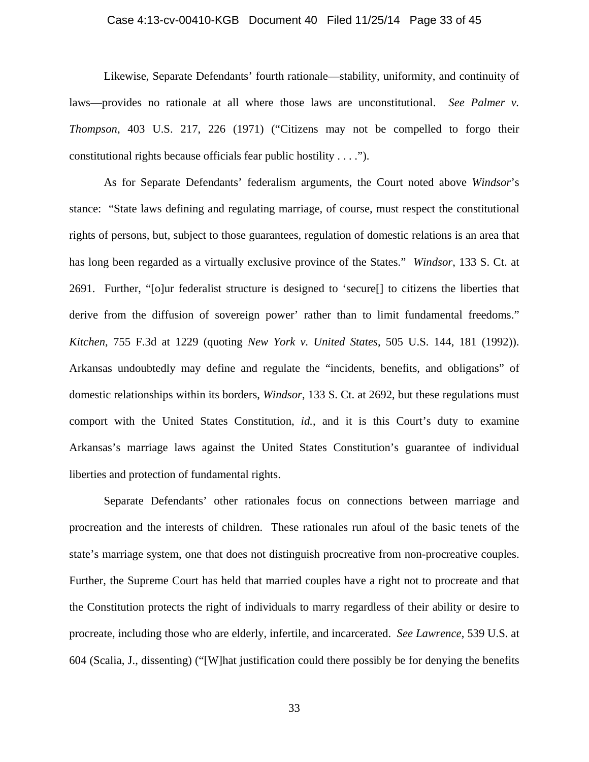#### Case 4:13-cv-00410-KGB Document 40 Filed 11/25/14 Page 33 of 45

Likewise, Separate Defendants' fourth rationale—stability, uniformity, and continuity of laws—provides no rationale at all where those laws are unconstitutional. *See Palmer v. Thompson*, 403 U.S. 217, 226 (1971) ("Citizens may not be compelled to forgo their constitutional rights because officials fear public hostility . . . .").

As for Separate Defendants' federalism arguments, the Court noted above *Windsor*'s stance: "State laws defining and regulating marriage, of course, must respect the constitutional rights of persons, but, subject to those guarantees, regulation of domestic relations is an area that has long been regarded as a virtually exclusive province of the States." *Windsor*, 133 S. Ct. at 2691. Further, "[o]ur federalist structure is designed to 'secure[] to citizens the liberties that derive from the diffusion of sovereign power' rather than to limit fundamental freedoms." *Kitchen*, 755 F.3d at 1229 (quoting *New York v. United States*, 505 U.S. 144, 181 (1992)). Arkansas undoubtedly may define and regulate the "incidents, benefits, and obligations" of domestic relationships within its borders, *Windsor*, 133 S. Ct. at 2692, but these regulations must comport with the United States Constitution, *id.*, and it is this Court's duty to examine Arkansas's marriage laws against the United States Constitution's guarantee of individual liberties and protection of fundamental rights.

Separate Defendants' other rationales focus on connections between marriage and procreation and the interests of children. These rationales run afoul of the basic tenets of the state's marriage system, one that does not distinguish procreative from non-procreative couples. Further, the Supreme Court has held that married couples have a right not to procreate and that the Constitution protects the right of individuals to marry regardless of their ability or desire to procreate, including those who are elderly, infertile, and incarcerated. *See Lawrence*, 539 U.S. at 604 (Scalia, J., dissenting) ("[W]hat justification could there possibly be for denying the benefits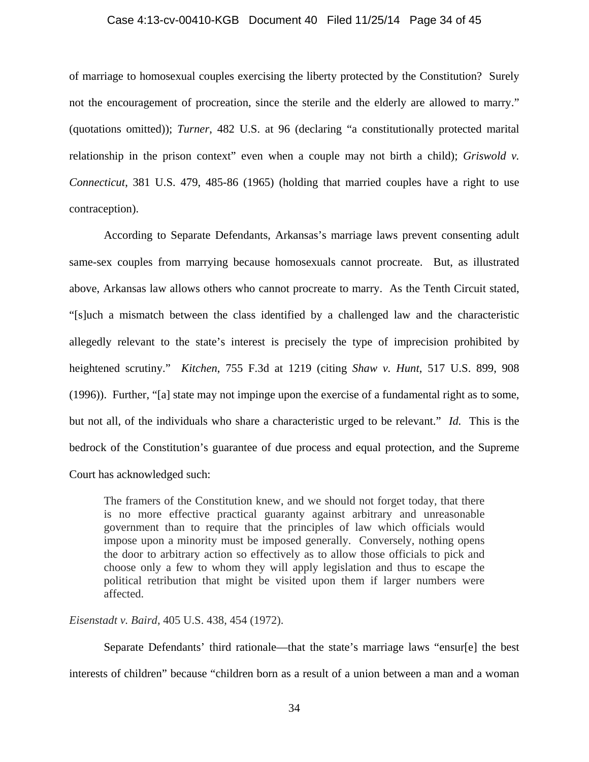#### Case 4:13-cv-00410-KGB Document 40 Filed 11/25/14 Page 34 of 45

of marriage to homosexual couples exercising the liberty protected by the Constitution? Surely not the encouragement of procreation, since the sterile and the elderly are allowed to marry." (quotations omitted)); *Turner*, 482 U.S. at 96 (declaring "a constitutionally protected marital relationship in the prison context" even when a couple may not birth a child); *Griswold v. Connecticut*, 381 U.S. 479, 485-86 (1965) (holding that married couples have a right to use contraception).

According to Separate Defendants, Arkansas's marriage laws prevent consenting adult same-sex couples from marrying because homosexuals cannot procreate. But, as illustrated above, Arkansas law allows others who cannot procreate to marry. As the Tenth Circuit stated, "[s]uch a mismatch between the class identified by a challenged law and the characteristic allegedly relevant to the state's interest is precisely the type of imprecision prohibited by heightened scrutiny." *Kitchen*, 755 F.3d at 1219 (citing *Shaw v. Hunt*, 517 U.S. 899, 908 (1996)). Further, "[a] state may not impinge upon the exercise of a fundamental right as to some, but not all, of the individuals who share a characteristic urged to be relevant." *Id.* This is the bedrock of the Constitution's guarantee of due process and equal protection, and the Supreme Court has acknowledged such:

The framers of the Constitution knew, and we should not forget today, that there is no more effective practical guaranty against arbitrary and unreasonable government than to require that the principles of law which officials would impose upon a minority must be imposed generally. Conversely, nothing opens the door to arbitrary action so effectively as to allow those officials to pick and choose only a few to whom they will apply legislation and thus to escape the political retribution that might be visited upon them if larger numbers were affected.

#### *Eisenstadt v. Baird*, 405 U.S. 438, 454 (1972).

Separate Defendants' third rationale—that the state's marriage laws "ensur[e] the best interests of children" because "children born as a result of a union between a man and a woman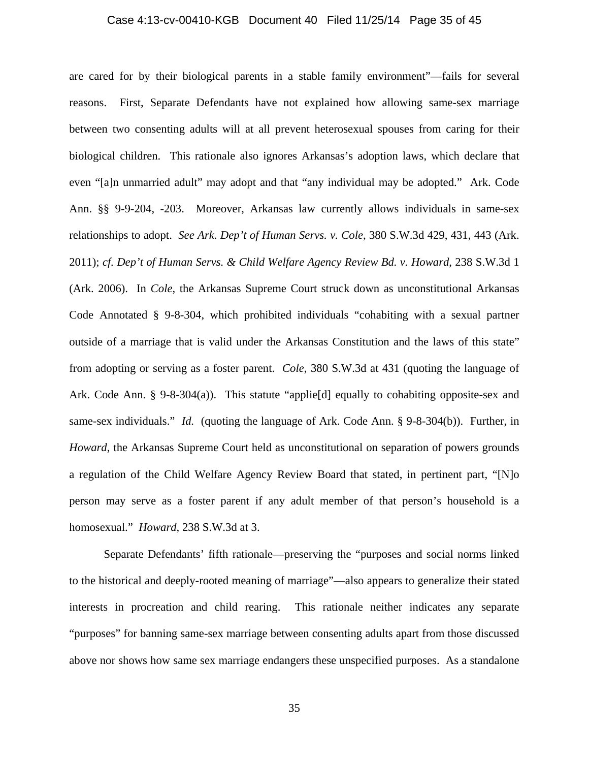#### Case 4:13-cv-00410-KGB Document 40 Filed 11/25/14 Page 35 of 45

are cared for by their biological parents in a stable family environment"—fails for several reasons. First, Separate Defendants have not explained how allowing same-sex marriage between two consenting adults will at all prevent heterosexual spouses from caring for their biological children. This rationale also ignores Arkansas's adoption laws, which declare that even "[a]n unmarried adult" may adopt and that "any individual may be adopted." Ark. Code Ann. §§ 9-9-204, -203. Moreover, Arkansas law currently allows individuals in same-sex relationships to adopt. *See Ark. Dep't of Human Servs. v. Cole*, 380 S.W.3d 429, 431, 443 (Ark. 2011); *cf. Dep't of Human Servs. & Child Welfare Agency Review Bd. v. Howard*, 238 S.W.3d 1 (Ark. 2006). In *Cole*, the Arkansas Supreme Court struck down as unconstitutional Arkansas Code Annotated § 9-8-304, which prohibited individuals "cohabiting with a sexual partner outside of a marriage that is valid under the Arkansas Constitution and the laws of this state" from adopting or serving as a foster parent. *Cole*, 380 S.W.3d at 431 (quoting the language of Ark. Code Ann. § 9-8-304(a)). This statute "applie[d] equally to cohabiting opposite-sex and same-sex individuals." *Id.* (quoting the language of Ark. Code Ann. § 9-8-304(b)). Further, in *Howard*, the Arkansas Supreme Court held as unconstitutional on separation of powers grounds a regulation of the Child Welfare Agency Review Board that stated, in pertinent part, "[N]o person may serve as a foster parent if any adult member of that person's household is a homosexual." *Howard*, 238 S.W.3d at 3.

Separate Defendants' fifth rationale—preserving the "purposes and social norms linked to the historical and deeply-rooted meaning of marriage"—also appears to generalize their stated interests in procreation and child rearing. This rationale neither indicates any separate "purposes" for banning same-sex marriage between consenting adults apart from those discussed above nor shows how same sex marriage endangers these unspecified purposes. As a standalone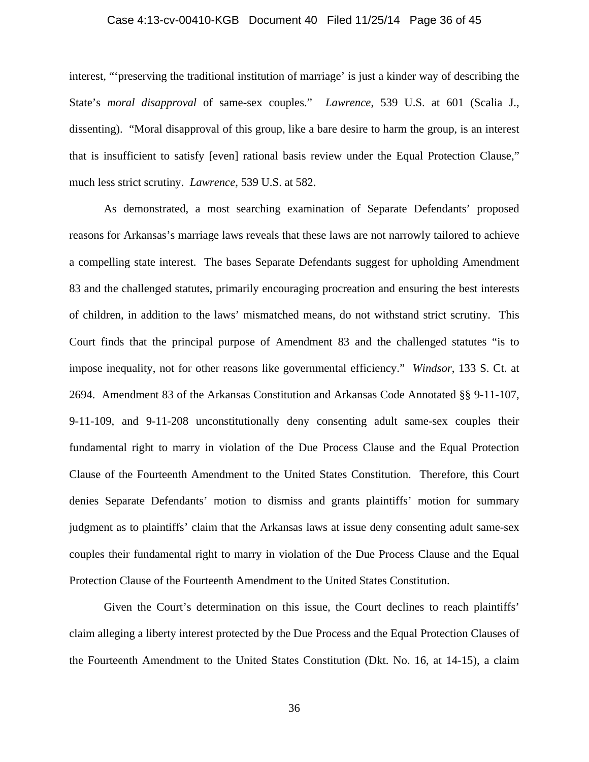#### Case 4:13-cv-00410-KGB Document 40 Filed 11/25/14 Page 36 of 45

interest, "'preserving the traditional institution of marriage' is just a kinder way of describing the State's *moral disapproval* of same-sex couples." *Lawrence*, 539 U.S. at 601 (Scalia J., dissenting). "Moral disapproval of this group, like a bare desire to harm the group, is an interest that is insufficient to satisfy [even] rational basis review under the Equal Protection Clause," much less strict scrutiny. *Lawrence*, 539 U.S. at 582.

As demonstrated, a most searching examination of Separate Defendants' proposed reasons for Arkansas's marriage laws reveals that these laws are not narrowly tailored to achieve a compelling state interest. The bases Separate Defendants suggest for upholding Amendment 83 and the challenged statutes, primarily encouraging procreation and ensuring the best interests of children, in addition to the laws' mismatched means, do not withstand strict scrutiny. This Court finds that the principal purpose of Amendment 83 and the challenged statutes "is to impose inequality, not for other reasons like governmental efficiency." *Windsor*, 133 S. Ct. at 2694. Amendment 83 of the Arkansas Constitution and Arkansas Code Annotated §§ 9-11-107, 9-11-109, and 9-11-208 unconstitutionally deny consenting adult same-sex couples their fundamental right to marry in violation of the Due Process Clause and the Equal Protection Clause of the Fourteenth Amendment to the United States Constitution. Therefore, this Court denies Separate Defendants' motion to dismiss and grants plaintiffs' motion for summary judgment as to plaintiffs' claim that the Arkansas laws at issue deny consenting adult same-sex couples their fundamental right to marry in violation of the Due Process Clause and the Equal Protection Clause of the Fourteenth Amendment to the United States Constitution.

Given the Court's determination on this issue, the Court declines to reach plaintiffs' claim alleging a liberty interest protected by the Due Process and the Equal Protection Clauses of the Fourteenth Amendment to the United States Constitution (Dkt. No. 16, at 14-15), a claim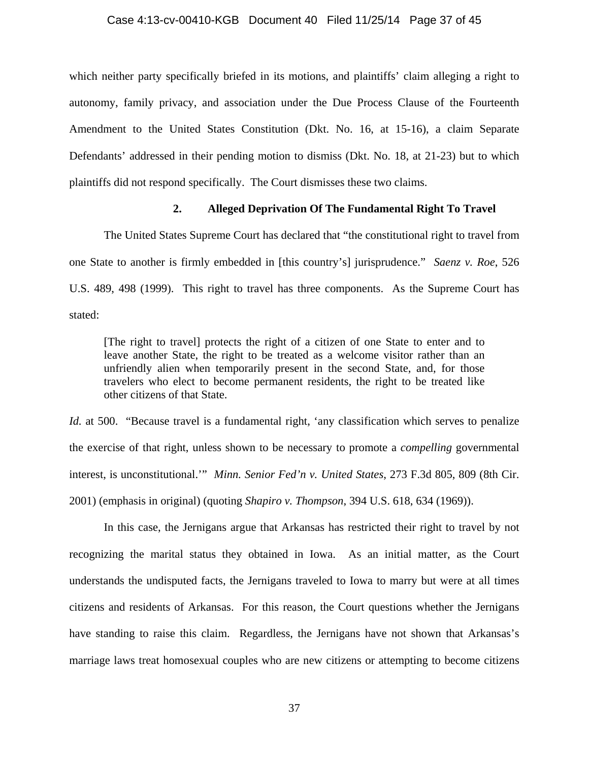#### Case 4:13-cv-00410-KGB Document 40 Filed 11/25/14 Page 37 of 45

which neither party specifically briefed in its motions, and plaintiffs' claim alleging a right to autonomy, family privacy, and association under the Due Process Clause of the Fourteenth Amendment to the United States Constitution (Dkt. No. 16, at 15-16), a claim Separate Defendants' addressed in their pending motion to dismiss (Dkt. No. 18, at 21-23) but to which plaintiffs did not respond specifically. The Court dismisses these two claims.

## **2. Alleged Deprivation Of The Fundamental Right To Travel**

The United States Supreme Court has declared that "the constitutional right to travel from one State to another is firmly embedded in [this country's] jurisprudence." *Saenz v. Roe*, 526 U.S. 489, 498 (1999). This right to travel has three components. As the Supreme Court has stated:

[The right to travel] protects the right of a citizen of one State to enter and to leave another State, the right to be treated as a welcome visitor rather than an unfriendly alien when temporarily present in the second State, and, for those travelers who elect to become permanent residents, the right to be treated like other citizens of that State.

*Id.* at 500. "Because travel is a fundamental right, 'any classification which serves to penalize the exercise of that right, unless shown to be necessary to promote a *compelling* governmental interest, is unconstitutional.'" *Minn. Senior Fed'n v. United States*, 273 F.3d 805, 809 (8th Cir. 2001) (emphasis in original) (quoting *Shapiro v. Thompson*, 394 U.S. 618, 634 (1969)).

 In this case, the Jernigans argue that Arkansas has restricted their right to travel by not recognizing the marital status they obtained in Iowa. As an initial matter, as the Court understands the undisputed facts, the Jernigans traveled to Iowa to marry but were at all times citizens and residents of Arkansas. For this reason, the Court questions whether the Jernigans have standing to raise this claim. Regardless, the Jernigans have not shown that Arkansas's marriage laws treat homosexual couples who are new citizens or attempting to become citizens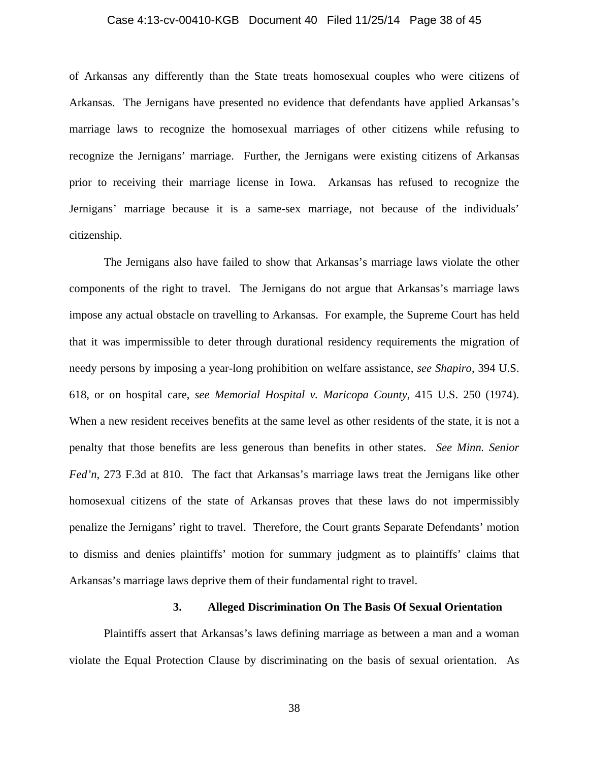#### Case 4:13-cv-00410-KGB Document 40 Filed 11/25/14 Page 38 of 45

of Arkansas any differently than the State treats homosexual couples who were citizens of Arkansas. The Jernigans have presented no evidence that defendants have applied Arkansas's marriage laws to recognize the homosexual marriages of other citizens while refusing to recognize the Jernigans' marriage. Further, the Jernigans were existing citizens of Arkansas prior to receiving their marriage license in Iowa. Arkansas has refused to recognize the Jernigans' marriage because it is a same-sex marriage, not because of the individuals' citizenship.

The Jernigans also have failed to show that Arkansas's marriage laws violate the other components of the right to travel. The Jernigans do not argue that Arkansas's marriage laws impose any actual obstacle on travelling to Arkansas. For example, the Supreme Court has held that it was impermissible to deter through durational residency requirements the migration of needy persons by imposing a year-long prohibition on welfare assistance, *see Shapiro*, 394 U.S. 618, or on hospital care, *see Memorial Hospital v. Maricopa County*, 415 U.S. 250 (1974). When a new resident receives benefits at the same level as other residents of the state, it is not a penalty that those benefits are less generous than benefits in other states. *See Minn. Senior Fed'n*, 273 F.3d at 810. The fact that Arkansas's marriage laws treat the Jernigans like other homosexual citizens of the state of Arkansas proves that these laws do not impermissibly penalize the Jernigans' right to travel. Therefore, the Court grants Separate Defendants' motion to dismiss and denies plaintiffs' motion for summary judgment as to plaintiffs' claims that Arkansas's marriage laws deprive them of their fundamental right to travel.

## **3. Alleged Discrimination On The Basis Of Sexual Orientation**

Plaintiffs assert that Arkansas's laws defining marriage as between a man and a woman violate the Equal Protection Clause by discriminating on the basis of sexual orientation. As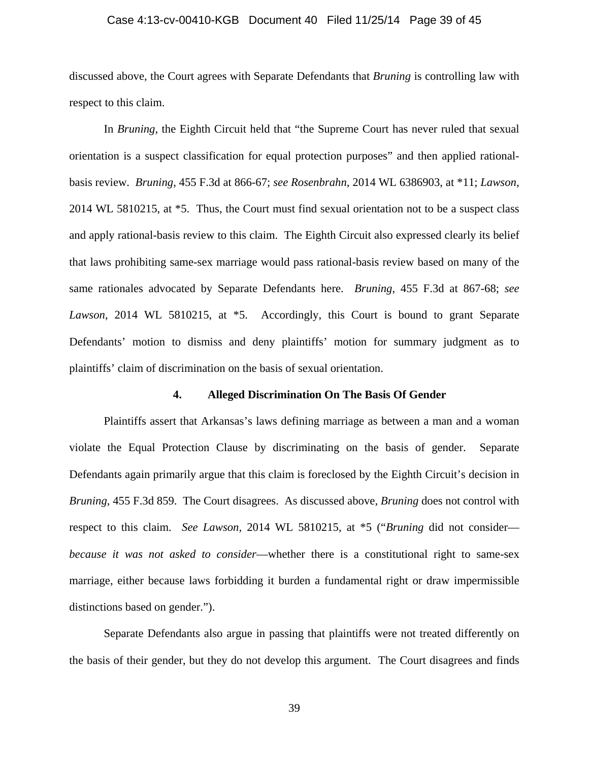#### Case 4:13-cv-00410-KGB Document 40 Filed 11/25/14 Page 39 of 45

discussed above, the Court agrees with Separate Defendants that *Bruning* is controlling law with respect to this claim.

In *Bruning*, the Eighth Circuit held that "the Supreme Court has never ruled that sexual orientation is a suspect classification for equal protection purposes" and then applied rationalbasis review. *Bruning*, 455 F.3d at 866-67; *see Rosenbrahn*, 2014 WL 6386903, at \*11; *Lawson*, 2014 WL 5810215, at \*5. Thus, the Court must find sexual orientation not to be a suspect class and apply rational-basis review to this claim. The Eighth Circuit also expressed clearly its belief that laws prohibiting same-sex marriage would pass rational-basis review based on many of the same rationales advocated by Separate Defendants here. *Bruning*, 455 F.3d at 867-68; *see Lawson*, 2014 WL 5810215, at \*5. Accordingly, this Court is bound to grant Separate Defendants' motion to dismiss and deny plaintiffs' motion for summary judgment as to plaintiffs' claim of discrimination on the basis of sexual orientation.

#### **4. Alleged Discrimination On The Basis Of Gender**

Plaintiffs assert that Arkansas's laws defining marriage as between a man and a woman violate the Equal Protection Clause by discriminating on the basis of gender. Separate Defendants again primarily argue that this claim is foreclosed by the Eighth Circuit's decision in *Bruning*, 455 F.3d 859. The Court disagrees. As discussed above, *Bruning* does not control with respect to this claim. *See Lawson,* 2014 WL 5810215, at \*5 ("*Bruning* did not consider *because it was not asked to consider*—whether there is a constitutional right to same-sex marriage, either because laws forbidding it burden a fundamental right or draw impermissible distinctions based on gender.").

Separate Defendants also argue in passing that plaintiffs were not treated differently on the basis of their gender, but they do not develop this argument. The Court disagrees and finds

39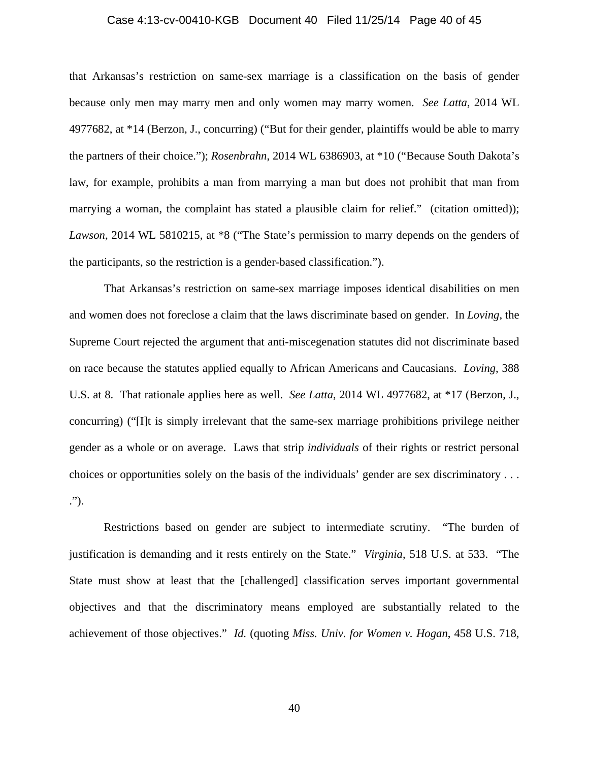#### Case 4:13-cv-00410-KGB Document 40 Filed 11/25/14 Page 40 of 45

that Arkansas's restriction on same-sex marriage is a classification on the basis of gender because only men may marry men and only women may marry women. *See Latta*, 2014 WL 4977682, at \*14 (Berzon, J., concurring) ("But for their gender, plaintiffs would be able to marry the partners of their choice."); *Rosenbrahn*, 2014 WL 6386903, at \*10 ("Because South Dakota's law, for example, prohibits a man from marrying a man but does not prohibit that man from marrying a woman, the complaint has stated a plausible claim for relief." (citation omitted)); *Lawson*, 2014 WL 5810215, at \*8 ("The State's permission to marry depends on the genders of the participants, so the restriction is a gender-based classification.").

That Arkansas's restriction on same-sex marriage imposes identical disabilities on men and women does not foreclose a claim that the laws discriminate based on gender. In *Loving*, the Supreme Court rejected the argument that anti-miscegenation statutes did not discriminate based on race because the statutes applied equally to African Americans and Caucasians. *Loving*, 388 U.S. at 8. That rationale applies here as well. *See Latta*, 2014 WL 4977682, at \*17 (Berzon, J., concurring) ("[I]t is simply irrelevant that the same-sex marriage prohibitions privilege neither gender as a whole or on average. Laws that strip *individuals* of their rights or restrict personal choices or opportunities solely on the basis of the individuals' gender are sex discriminatory . . . .").

Restrictions based on gender are subject to intermediate scrutiny. "The burden of justification is demanding and it rests entirely on the State." *Virginia*, 518 U.S. at 533. "The State must show at least that the [challenged] classification serves important governmental objectives and that the discriminatory means employed are substantially related to the achievement of those objectives." *Id.* (quoting *Miss. Univ. for Women v. Hogan*, 458 U.S. 718,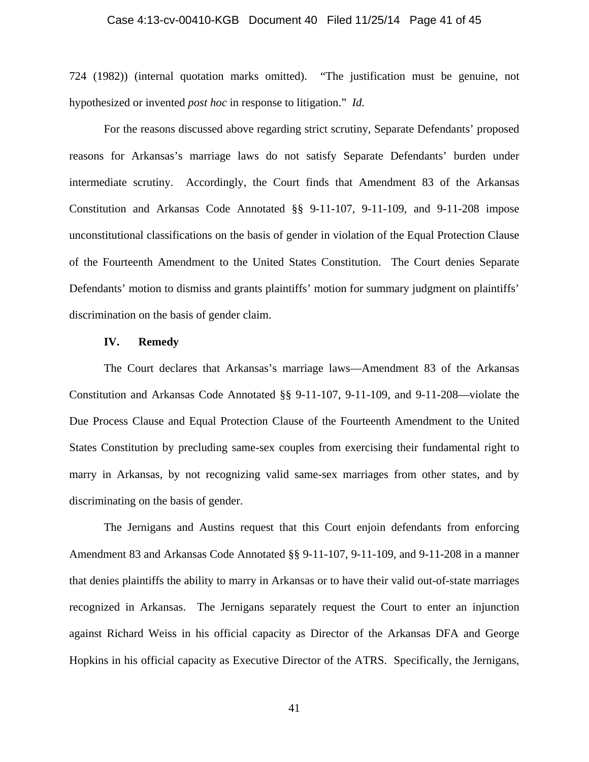#### Case 4:13-cv-00410-KGB Document 40 Filed 11/25/14 Page 41 of 45

724 (1982)) (internal quotation marks omitted). "The justification must be genuine, not hypothesized or invented *post hoc* in response to litigation." *Id.*

For the reasons discussed above regarding strict scrutiny, Separate Defendants' proposed reasons for Arkansas's marriage laws do not satisfy Separate Defendants' burden under intermediate scrutiny. Accordingly, the Court finds that Amendment 83 of the Arkansas Constitution and Arkansas Code Annotated §§ 9-11-107, 9-11-109, and 9-11-208 impose unconstitutional classifications on the basis of gender in violation of the Equal Protection Clause of the Fourteenth Amendment to the United States Constitution. The Court denies Separate Defendants' motion to dismiss and grants plaintiffs' motion for summary judgment on plaintiffs' discrimination on the basis of gender claim.

#### **IV. Remedy**

The Court declares that Arkansas's marriage laws—Amendment 83 of the Arkansas Constitution and Arkansas Code Annotated §§ 9-11-107, 9-11-109, and 9-11-208—violate the Due Process Clause and Equal Protection Clause of the Fourteenth Amendment to the United States Constitution by precluding same-sex couples from exercising their fundamental right to marry in Arkansas, by not recognizing valid same-sex marriages from other states, and by discriminating on the basis of gender.

The Jernigans and Austins request that this Court enjoin defendants from enforcing Amendment 83 and Arkansas Code Annotated §§ 9-11-107, 9-11-109, and 9-11-208 in a manner that denies plaintiffs the ability to marry in Arkansas or to have their valid out-of-state marriages recognized in Arkansas. The Jernigans separately request the Court to enter an injunction against Richard Weiss in his official capacity as Director of the Arkansas DFA and George Hopkins in his official capacity as Executive Director of the ATRS. Specifically, the Jernigans,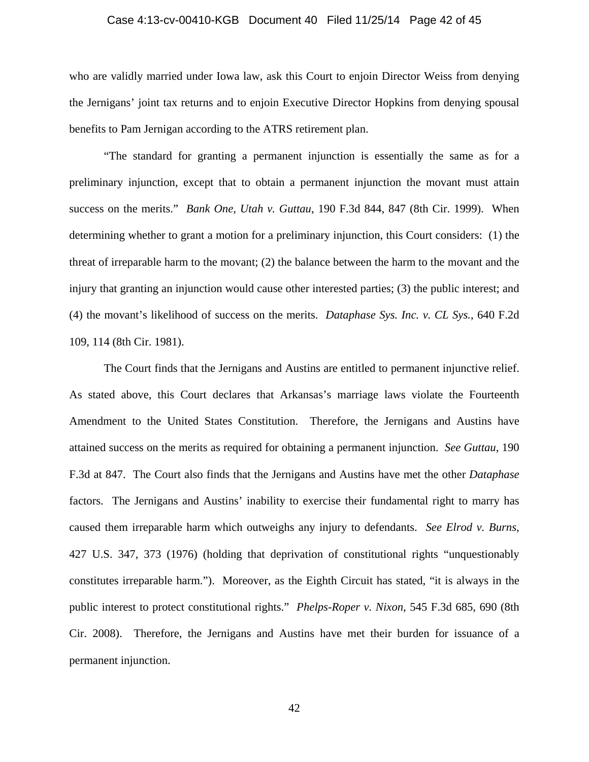#### Case 4:13-cv-00410-KGB Document 40 Filed 11/25/14 Page 42 of 45

who are validly married under Iowa law, ask this Court to enjoin Director Weiss from denying the Jernigans' joint tax returns and to enjoin Executive Director Hopkins from denying spousal benefits to Pam Jernigan according to the ATRS retirement plan.

"The standard for granting a permanent injunction is essentially the same as for a preliminary injunction, except that to obtain a permanent injunction the movant must attain success on the merits." *Bank One, Utah v. Guttau*, 190 F.3d 844, 847 (8th Cir. 1999). When determining whether to grant a motion for a preliminary injunction, this Court considers: (1) the threat of irreparable harm to the movant; (2) the balance between the harm to the movant and the injury that granting an injunction would cause other interested parties; (3) the public interest; and (4) the movant's likelihood of success on the merits. *Dataphase Sys. Inc. v. CL Sys.*, 640 F.2d 109, 114 (8th Cir. 1981).

The Court finds that the Jernigans and Austins are entitled to permanent injunctive relief. As stated above, this Court declares that Arkansas's marriage laws violate the Fourteenth Amendment to the United States Constitution. Therefore, the Jernigans and Austins have attained success on the merits as required for obtaining a permanent injunction. *See Guttau*, 190 F.3d at 847. The Court also finds that the Jernigans and Austins have met the other *Dataphase* factors. The Jernigans and Austins' inability to exercise their fundamental right to marry has caused them irreparable harm which outweighs any injury to defendants. *See Elrod v. Burns*, 427 U.S. 347, 373 (1976) (holding that deprivation of constitutional rights "unquestionably constitutes irreparable harm."). Moreover, as the Eighth Circuit has stated, "it is always in the public interest to protect constitutional rights." *Phelps-Roper v. Nixon*, 545 F.3d 685, 690 (8th Cir. 2008). Therefore, the Jernigans and Austins have met their burden for issuance of a permanent injunction.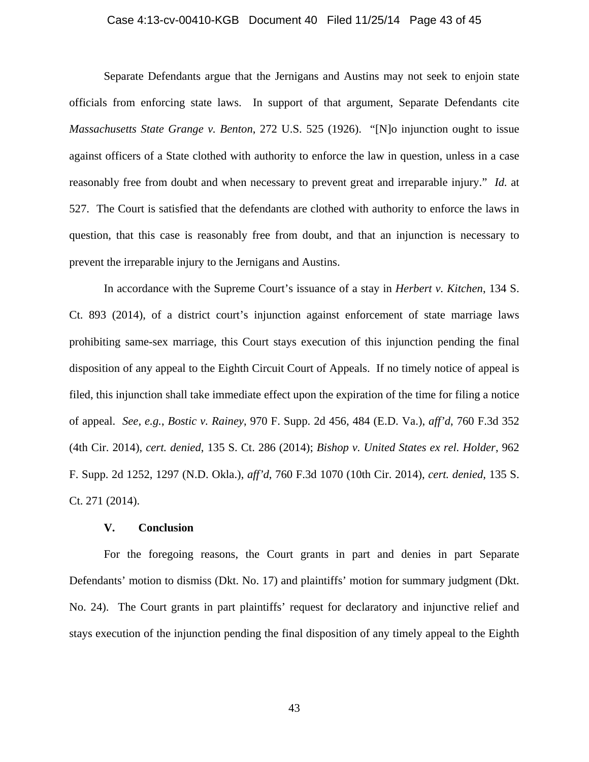#### Case 4:13-cv-00410-KGB Document 40 Filed 11/25/14 Page 43 of 45

Separate Defendants argue that the Jernigans and Austins may not seek to enjoin state officials from enforcing state laws. In support of that argument, Separate Defendants cite *Massachusetts State Grange v. Benton*, 272 U.S. 525 (1926). "[N]o injunction ought to issue against officers of a State clothed with authority to enforce the law in question, unless in a case reasonably free from doubt and when necessary to prevent great and irreparable injury." *Id.* at 527. The Court is satisfied that the defendants are clothed with authority to enforce the laws in question, that this case is reasonably free from doubt, and that an injunction is necessary to prevent the irreparable injury to the Jernigans and Austins.

In accordance with the Supreme Court's issuance of a stay in *Herbert v. Kitchen*, 134 S. Ct. 893 (2014), of a district court's injunction against enforcement of state marriage laws prohibiting same-sex marriage, this Court stays execution of this injunction pending the final disposition of any appeal to the Eighth Circuit Court of Appeals. If no timely notice of appeal is filed, this injunction shall take immediate effect upon the expiration of the time for filing a notice of appeal. *See, e.g.*, *Bostic v. Rainey*, 970 F. Supp. 2d 456, 484 (E.D. Va.), *aff'd*, 760 F.3d 352 (4th Cir. 2014), *cert. denied*, 135 S. Ct. 286 (2014); *Bishop v. United States ex rel. Holder*, 962 F. Supp. 2d 1252, 1297 (N.D. Okla.), *aff'd*, 760 F.3d 1070 (10th Cir. 2014), *cert. denied*, 135 S. Ct. 271 (2014).

#### **V. Conclusion**

For the foregoing reasons, the Court grants in part and denies in part Separate Defendants' motion to dismiss (Dkt. No. 17) and plaintiffs' motion for summary judgment (Dkt. No. 24). The Court grants in part plaintiffs' request for declaratory and injunctive relief and stays execution of the injunction pending the final disposition of any timely appeal to the Eighth

43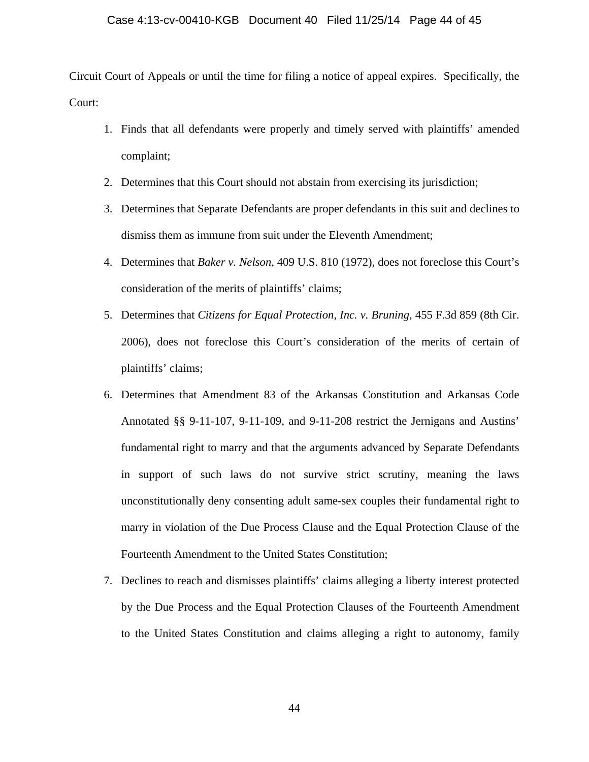Circuit Court of Appeals or until the time for filing a notice of appeal expires. Specifically, the Court:

- 1. Finds that all defendants were properly and timely served with plaintiffs' amended complaint;
- 2. Determines that this Court should not abstain from exercising its jurisdiction;
- 3. Determines that Separate Defendants are proper defendants in this suit and declines to dismiss them as immune from suit under the Eleventh Amendment;
- 4. Determines that *Baker v. Nelson*, 409 U.S. 810 (1972), does not foreclose this Court's consideration of the merits of plaintiffs' claims;
- 5. Determines that *Citizens for Equal Protection, Inc. v. Bruning*, 455 F.3d 859 (8th Cir. 2006), does not foreclose this Court's consideration of the merits of certain of plaintiffs' claims;
- 6. Determines that Amendment 83 of the Arkansas Constitution and Arkansas Code Annotated §§ 9-11-107, 9-11-109, and 9-11-208 restrict the Jernigans and Austins' fundamental right to marry and that the arguments advanced by Separate Defendants in support of such laws do not survive strict scrutiny, meaning the laws unconstitutionally deny consenting adult same-sex couples their fundamental right to marry in violation of the Due Process Clause and the Equal Protection Clause of the Fourteenth Amendment to the United States Constitution;
- 7. Declines to reach and dismisses plaintiffs' claims alleging a liberty interest protected by the Due Process and the Equal Protection Clauses of the Fourteenth Amendment to the United States Constitution and claims alleging a right to autonomy, family